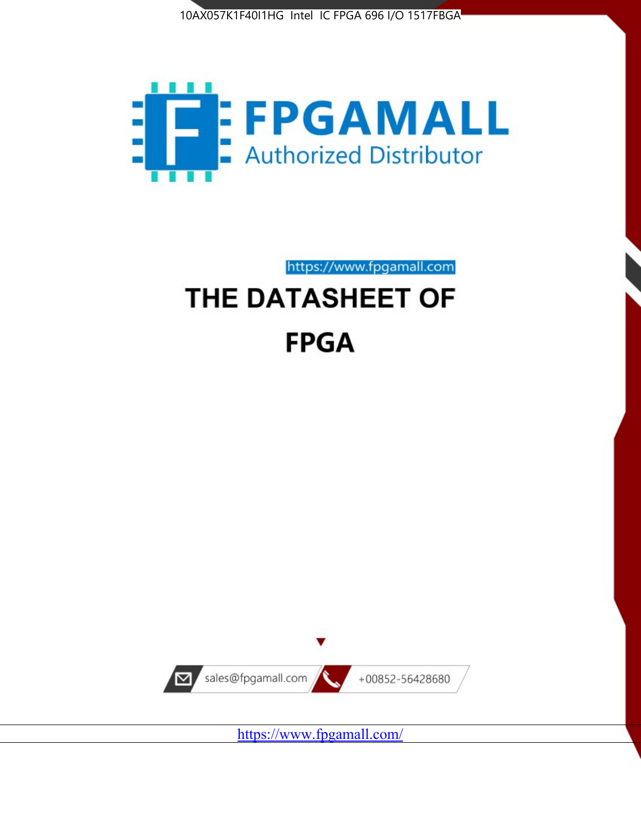



# https://www.fpgamall.com THE DATASHEET OF **FPGA**



<https://www.fpgamall.com/>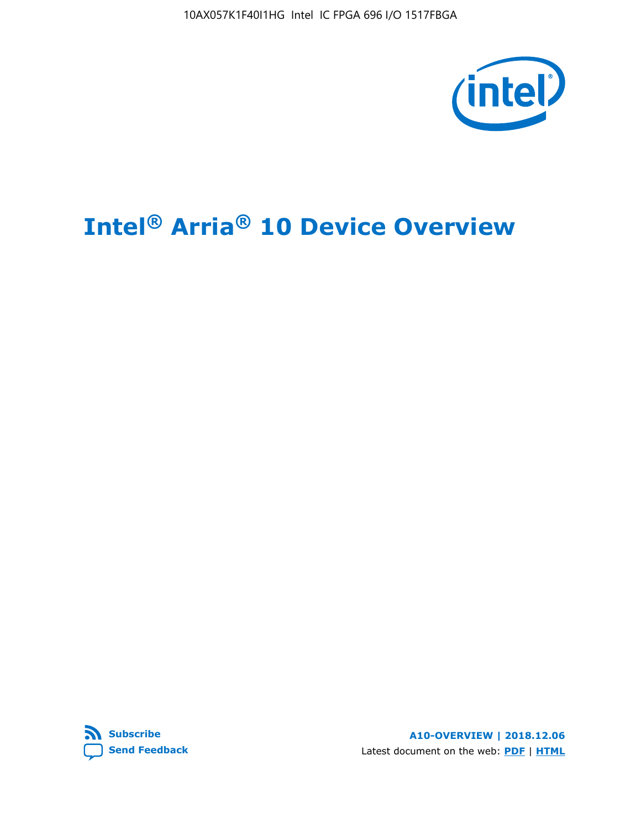

# **Intel® Arria® 10 Device Overview**



**A10-OVERVIEW | 2018.12.06** Latest document on the web: **[PDF](https://www.intel.com/content/dam/www/programmable/us/en/pdfs/literature/hb/arria-10/a10_overview.pdf)** | **[HTML](https://www.intel.com/content/www/us/en/programmable/documentation/sam1403480274650.html)**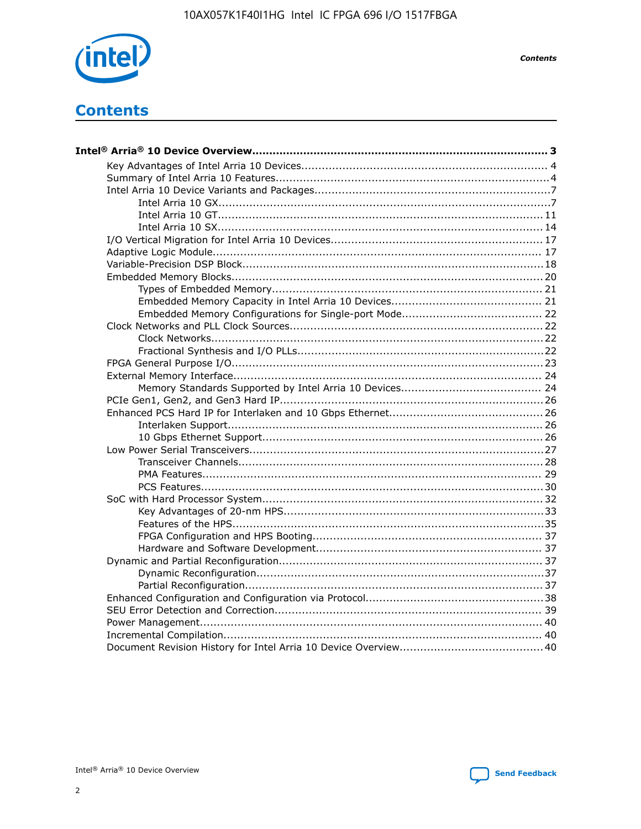

**Contents** 

# **Contents**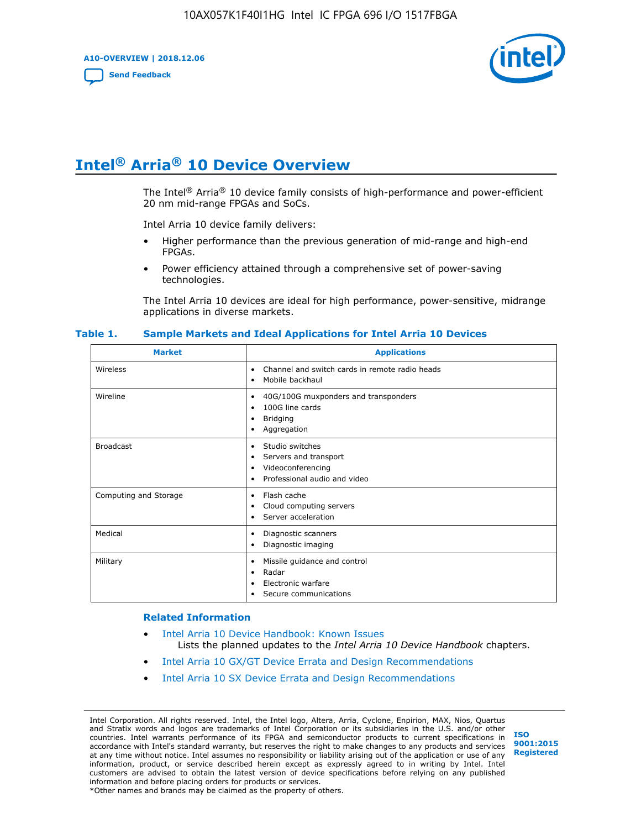**A10-OVERVIEW | 2018.12.06**

**[Send Feedback](mailto:FPGAtechdocfeedback@intel.com?subject=Feedback%20on%20Intel%20Arria%2010%20Device%20Overview%20(A10-OVERVIEW%202018.12.06)&body=We%20appreciate%20your%20feedback.%20In%20your%20comments,%20also%20specify%20the%20page%20number%20or%20paragraph.%20Thank%20you.)**



# **Intel® Arria® 10 Device Overview**

The Intel<sup>®</sup> Arria<sup>®</sup> 10 device family consists of high-performance and power-efficient 20 nm mid-range FPGAs and SoCs.

Intel Arria 10 device family delivers:

- Higher performance than the previous generation of mid-range and high-end FPGAs.
- Power efficiency attained through a comprehensive set of power-saving technologies.

The Intel Arria 10 devices are ideal for high performance, power-sensitive, midrange applications in diverse markets.

| <b>Market</b>         | <b>Applications</b>                                                                                               |
|-----------------------|-------------------------------------------------------------------------------------------------------------------|
| Wireless              | Channel and switch cards in remote radio heads<br>٠<br>Mobile backhaul<br>٠                                       |
| Wireline              | 40G/100G muxponders and transponders<br>٠<br>100G line cards<br>٠<br><b>Bridging</b><br>٠<br>Aggregation<br>٠     |
| <b>Broadcast</b>      | Studio switches<br>٠<br>Servers and transport<br>٠<br>Videoconferencing<br>٠<br>Professional audio and video<br>٠ |
| Computing and Storage | Flash cache<br>٠<br>Cloud computing servers<br>٠<br>Server acceleration<br>٠                                      |
| Medical               | Diagnostic scanners<br>٠<br>Diagnostic imaging<br>٠                                                               |
| Military              | Missile guidance and control<br>٠<br>Radar<br>٠<br>Electronic warfare<br>٠<br>Secure communications<br>٠          |

#### **Table 1. Sample Markets and Ideal Applications for Intel Arria 10 Devices**

#### **Related Information**

- [Intel Arria 10 Device Handbook: Known Issues](http://www.altera.com/support/kdb/solutions/rd07302013_646.html) Lists the planned updates to the *Intel Arria 10 Device Handbook* chapters.
- [Intel Arria 10 GX/GT Device Errata and Design Recommendations](https://www.intel.com/content/www/us/en/programmable/documentation/agz1493851706374.html#yqz1494433888646)
- [Intel Arria 10 SX Device Errata and Design Recommendations](https://www.intel.com/content/www/us/en/programmable/documentation/cru1462832385668.html#cru1462832558642)

Intel Corporation. All rights reserved. Intel, the Intel logo, Altera, Arria, Cyclone, Enpirion, MAX, Nios, Quartus and Stratix words and logos are trademarks of Intel Corporation or its subsidiaries in the U.S. and/or other countries. Intel warrants performance of its FPGA and semiconductor products to current specifications in accordance with Intel's standard warranty, but reserves the right to make changes to any products and services at any time without notice. Intel assumes no responsibility or liability arising out of the application or use of any information, product, or service described herein except as expressly agreed to in writing by Intel. Intel customers are advised to obtain the latest version of device specifications before relying on any published information and before placing orders for products or services. \*Other names and brands may be claimed as the property of others.

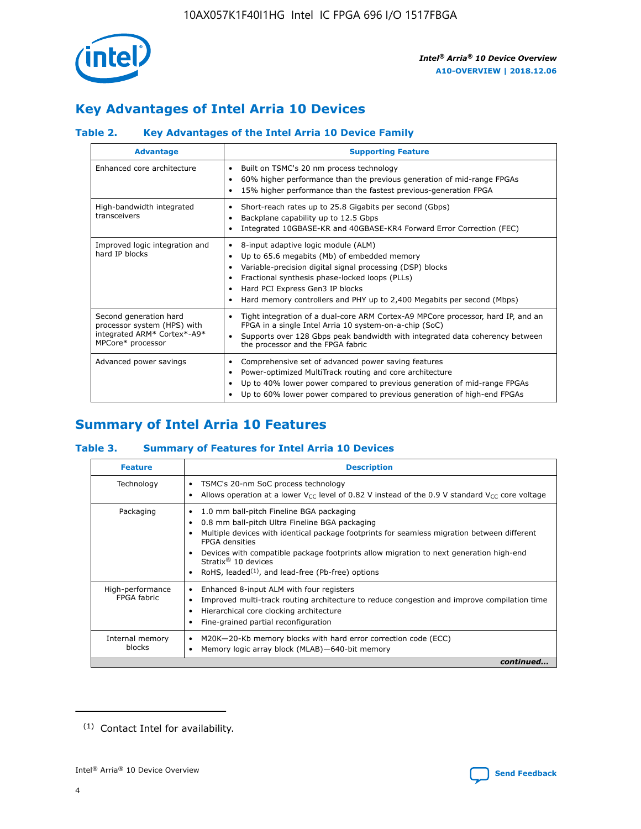

# **Key Advantages of Intel Arria 10 Devices**

# **Table 2. Key Advantages of the Intel Arria 10 Device Family**

| <b>Advantage</b>                                                                                          | <b>Supporting Feature</b>                                                                                                                                                                                                                                                                                                     |
|-----------------------------------------------------------------------------------------------------------|-------------------------------------------------------------------------------------------------------------------------------------------------------------------------------------------------------------------------------------------------------------------------------------------------------------------------------|
| Enhanced core architecture                                                                                | Built on TSMC's 20 nm process technology<br>$\bullet$<br>60% higher performance than the previous generation of mid-range FPGAs<br>٠<br>15% higher performance than the fastest previous-generation FPGA<br>٠                                                                                                                 |
| High-bandwidth integrated<br>transceivers                                                                 | Short-reach rates up to 25.8 Gigabits per second (Gbps)<br>٠<br>Backplane capability up to 12.5 Gbps<br>٠<br>Integrated 10GBASE-KR and 40GBASE-KR4 Forward Error Correction (FEC)<br>٠                                                                                                                                        |
| Improved logic integration and<br>hard IP blocks                                                          | 8-input adaptive logic module (ALM)<br>٠<br>Up to 65.6 megabits (Mb) of embedded memory<br>٠<br>Variable-precision digital signal processing (DSP) blocks<br>Fractional synthesis phase-locked loops (PLLs)<br>٠<br>Hard PCI Express Gen3 IP blocks<br>Hard memory controllers and PHY up to 2,400 Megabits per second (Mbps) |
| Second generation hard<br>processor system (HPS) with<br>integrated ARM* Cortex*-A9*<br>MPCore* processor | Tight integration of a dual-core ARM Cortex-A9 MPCore processor, hard IP, and an<br>٠<br>FPGA in a single Intel Arria 10 system-on-a-chip (SoC)<br>Supports over 128 Gbps peak bandwidth with integrated data coherency between<br>$\bullet$<br>the processor and the FPGA fabric                                             |
| Advanced power savings                                                                                    | Comprehensive set of advanced power saving features<br>٠<br>Power-optimized MultiTrack routing and core architecture<br>٠<br>Up to 40% lower power compared to previous generation of mid-range FPGAs<br>٠<br>Up to 60% lower power compared to previous generation of high-end FPGAs                                         |

# **Summary of Intel Arria 10 Features**

## **Table 3. Summary of Features for Intel Arria 10 Devices**

| <b>Feature</b>                  | <b>Description</b>                                                                                                                                                                                                                                                                                                                                                                                 |
|---------------------------------|----------------------------------------------------------------------------------------------------------------------------------------------------------------------------------------------------------------------------------------------------------------------------------------------------------------------------------------------------------------------------------------------------|
| Technology                      | TSMC's 20-nm SoC process technology<br>Allows operation at a lower $V_{\text{CC}}$ level of 0.82 V instead of the 0.9 V standard $V_{\text{CC}}$ core voltage                                                                                                                                                                                                                                      |
| Packaging                       | 1.0 mm ball-pitch Fineline BGA packaging<br>٠<br>0.8 mm ball-pitch Ultra Fineline BGA packaging<br>Multiple devices with identical package footprints for seamless migration between different<br><b>FPGA</b> densities<br>Devices with compatible package footprints allow migration to next generation high-end<br>Stratix $@10$ devices<br>RoHS, leaded $(1)$ , and lead-free (Pb-free) options |
| High-performance<br>FPGA fabric | Enhanced 8-input ALM with four registers<br>Improved multi-track routing architecture to reduce congestion and improve compilation time<br>Hierarchical core clocking architecture<br>Fine-grained partial reconfiguration                                                                                                                                                                         |
| Internal memory<br>blocks       | M20K-20-Kb memory blocks with hard error correction code (ECC)<br>Memory logic array block (MLAB)-640-bit memory                                                                                                                                                                                                                                                                                   |
|                                 | continued                                                                                                                                                                                                                                                                                                                                                                                          |



<sup>(1)</sup> Contact Intel for availability.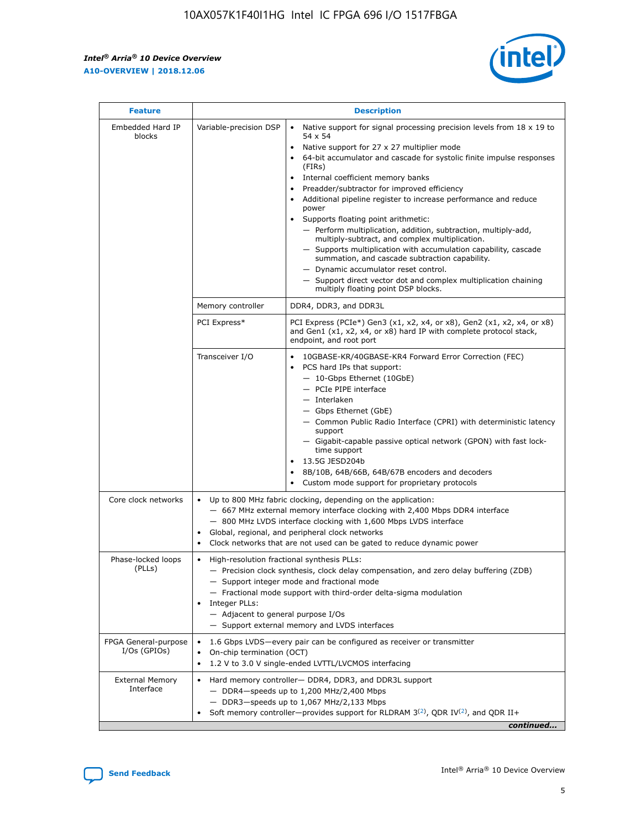r



| <b>Feature</b>                         | <b>Description</b>                                                                                             |                                                                                                                                                                                                                                                                                                                                                                                                                                                                                                                                                                                                                                                                                                                                                                                                                                        |  |  |  |  |  |
|----------------------------------------|----------------------------------------------------------------------------------------------------------------|----------------------------------------------------------------------------------------------------------------------------------------------------------------------------------------------------------------------------------------------------------------------------------------------------------------------------------------------------------------------------------------------------------------------------------------------------------------------------------------------------------------------------------------------------------------------------------------------------------------------------------------------------------------------------------------------------------------------------------------------------------------------------------------------------------------------------------------|--|--|--|--|--|
| Embedded Hard IP<br>blocks             | Variable-precision DSP                                                                                         | Native support for signal processing precision levels from $18 \times 19$ to<br>54 x 54<br>Native support for 27 x 27 multiplier mode<br>64-bit accumulator and cascade for systolic finite impulse responses<br>(FIRs)<br>Internal coefficient memory banks<br>$\bullet$<br>Preadder/subtractor for improved efficiency<br>Additional pipeline register to increase performance and reduce<br>power<br>Supports floating point arithmetic:<br>- Perform multiplication, addition, subtraction, multiply-add,<br>multiply-subtract, and complex multiplication.<br>- Supports multiplication with accumulation capability, cascade<br>summation, and cascade subtraction capability.<br>- Dynamic accumulator reset control.<br>- Support direct vector dot and complex multiplication chaining<br>multiply floating point DSP blocks. |  |  |  |  |  |
|                                        | Memory controller                                                                                              | DDR4, DDR3, and DDR3L                                                                                                                                                                                                                                                                                                                                                                                                                                                                                                                                                                                                                                                                                                                                                                                                                  |  |  |  |  |  |
|                                        | PCI Express*                                                                                                   | PCI Express (PCIe*) Gen3 (x1, x2, x4, or x8), Gen2 (x1, x2, x4, or x8)<br>and Gen1 (x1, x2, x4, or x8) hard IP with complete protocol stack,<br>endpoint, and root port                                                                                                                                                                                                                                                                                                                                                                                                                                                                                                                                                                                                                                                                |  |  |  |  |  |
|                                        | Transceiver I/O                                                                                                | 10GBASE-KR/40GBASE-KR4 Forward Error Correction (FEC)<br>PCS hard IPs that support:<br>$\bullet$<br>- 10-Gbps Ethernet (10GbE)<br>- PCIe PIPE interface<br>$-$ Interlaken<br>- Gbps Ethernet (GbE)<br>- Common Public Radio Interface (CPRI) with deterministic latency<br>support<br>- Gigabit-capable passive optical network (GPON) with fast lock-<br>time support<br>13.5G JESD204b<br>$\bullet$<br>8B/10B, 64B/66B, 64B/67B encoders and decoders<br>Custom mode support for proprietary protocols                                                                                                                                                                                                                                                                                                                               |  |  |  |  |  |
| Core clock networks                    | $\bullet$<br>$\bullet$                                                                                         | Up to 800 MHz fabric clocking, depending on the application:<br>- 667 MHz external memory interface clocking with 2,400 Mbps DDR4 interface<br>- 800 MHz LVDS interface clocking with 1,600 Mbps LVDS interface<br>Global, regional, and peripheral clock networks<br>Clock networks that are not used can be gated to reduce dynamic power                                                                                                                                                                                                                                                                                                                                                                                                                                                                                            |  |  |  |  |  |
| Phase-locked loops<br>(PLLs)           | High-resolution fractional synthesis PLLs:<br>$\bullet$<br>Integer PLLs:<br>- Adjacent to general purpose I/Os | - Precision clock synthesis, clock delay compensation, and zero delay buffering (ZDB)<br>- Support integer mode and fractional mode<br>- Fractional mode support with third-order delta-sigma modulation<br>- Support external memory and LVDS interfaces                                                                                                                                                                                                                                                                                                                                                                                                                                                                                                                                                                              |  |  |  |  |  |
| FPGA General-purpose<br>$I/Os$ (GPIOs) | On-chip termination (OCT)                                                                                      | 1.6 Gbps LVDS-every pair can be configured as receiver or transmitter<br>1.2 V to 3.0 V single-ended LVTTL/LVCMOS interfacing                                                                                                                                                                                                                                                                                                                                                                                                                                                                                                                                                                                                                                                                                                          |  |  |  |  |  |
| <b>External Memory</b><br>Interface    |                                                                                                                | Hard memory controller- DDR4, DDR3, and DDR3L support<br>$-$ DDR4 $-$ speeds up to 1,200 MHz/2,400 Mbps<br>- DDR3-speeds up to 1,067 MHz/2,133 Mbps<br>Soft memory controller—provides support for RLDRAM $3^{(2)}$ , QDR IV $^{(2)}$ , and QDR II+<br>continued                                                                                                                                                                                                                                                                                                                                                                                                                                                                                                                                                                       |  |  |  |  |  |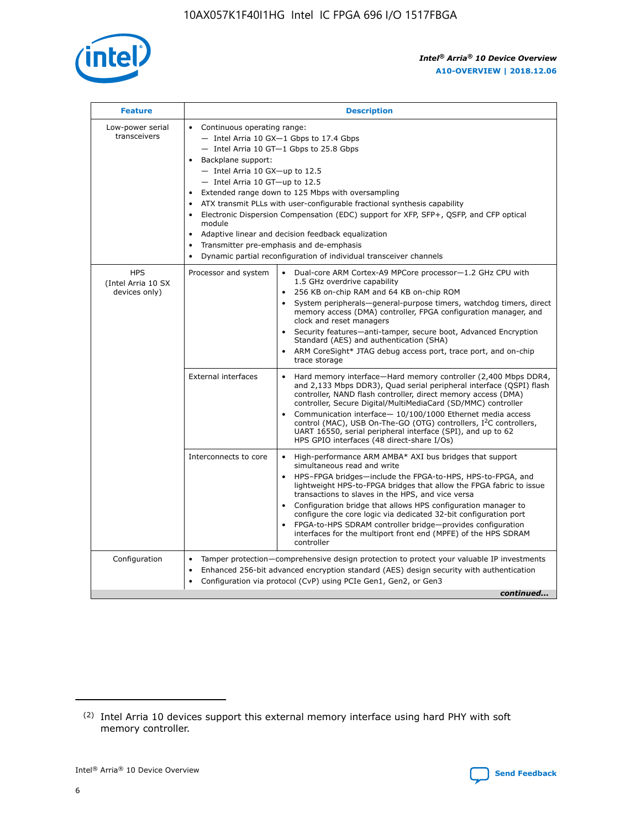

| <b>Feature</b>                                    | <b>Description</b>                                                                                                                                                                                                                                                                                                                                                                                                                                                                                                                                                                                                                                     |
|---------------------------------------------------|--------------------------------------------------------------------------------------------------------------------------------------------------------------------------------------------------------------------------------------------------------------------------------------------------------------------------------------------------------------------------------------------------------------------------------------------------------------------------------------------------------------------------------------------------------------------------------------------------------------------------------------------------------|
| Low-power serial<br>transceivers                  | Continuous operating range:<br>- Intel Arria 10 GX-1 Gbps to 17.4 Gbps<br>$-$ Intel Arria 10 GT $-1$ Gbps to 25.8 Gbps<br>Backplane support:<br>- Intel Arria 10 GX-up to 12.5<br>- Intel Arria 10 GT-up to 12.5<br>Extended range down to 125 Mbps with oversampling<br>ATX transmit PLLs with user-configurable fractional synthesis capability<br>Electronic Dispersion Compensation (EDC) support for XFP, SFP+, OSFP, and CFP optical<br>module<br>Adaptive linear and decision feedback equalization<br>$\bullet$<br>Transmitter pre-emphasis and de-emphasis<br>$\bullet$<br>Dynamic partial reconfiguration of individual transceiver channels |
| <b>HPS</b><br>(Intel Arria 10 SX<br>devices only) | Processor and system<br>$\bullet$<br>Dual-core ARM Cortex-A9 MPCore processor-1.2 GHz CPU with<br>1.5 GHz overdrive capability<br>256 KB on-chip RAM and 64 KB on-chip ROM<br>System peripherals-general-purpose timers, watchdog timers, direct<br>memory access (DMA) controller, FPGA configuration manager, and<br>clock and reset managers<br>• Security features—anti-tamper, secure boot, Advanced Encryption<br>Standard (AES) and authentication (SHA)<br>• ARM CoreSight* JTAG debug access port, trace port, and on-chip<br>trace storage                                                                                                   |
|                                                   | <b>External interfaces</b><br>Hard memory interface—Hard memory controller (2,400 Mbps DDR4,<br>and 2,133 Mbps DDR3), Quad serial peripheral interface (QSPI) flash<br>controller, NAND flash controller, direct memory access (DMA)<br>controller, Secure Digital/MultiMediaCard (SD/MMC) controller<br>Communication interface-10/100/1000 Ethernet media access<br>control (MAC), USB On-The-GO (OTG) controllers, I <sup>2</sup> C controllers,<br>UART 16550, serial peripheral interface (SPI), and up to 62<br>HPS GPIO interfaces (48 direct-share I/Os)                                                                                       |
|                                                   | Interconnects to core<br>• High-performance ARM AMBA* AXI bus bridges that support<br>simultaneous read and write<br>• HPS-FPGA bridges-include the FPGA-to-HPS, HPS-to-FPGA, and<br>lightweight HPS-to-FPGA bridges that allow the FPGA fabric to issue<br>transactions to slaves in the HPS, and vice versa<br>Configuration bridge that allows HPS configuration manager to<br>configure the core logic via dedicated 32-bit configuration port<br>FPGA-to-HPS SDRAM controller bridge-provides configuration<br>interfaces for the multiport front end (MPFE) of the HPS SDRAM<br>controller                                                       |
| Configuration                                     | Tamper protection—comprehensive design protection to protect your valuable IP investments<br>$\bullet$<br>Enhanced 256-bit advanced encryption standard (AES) design security with authentication<br>٠<br>Configuration via protocol (CvP) using PCIe Gen1, Gen2, or Gen3<br>continued                                                                                                                                                                                                                                                                                                                                                                 |

<sup>(2)</sup> Intel Arria 10 devices support this external memory interface using hard PHY with soft memory controller.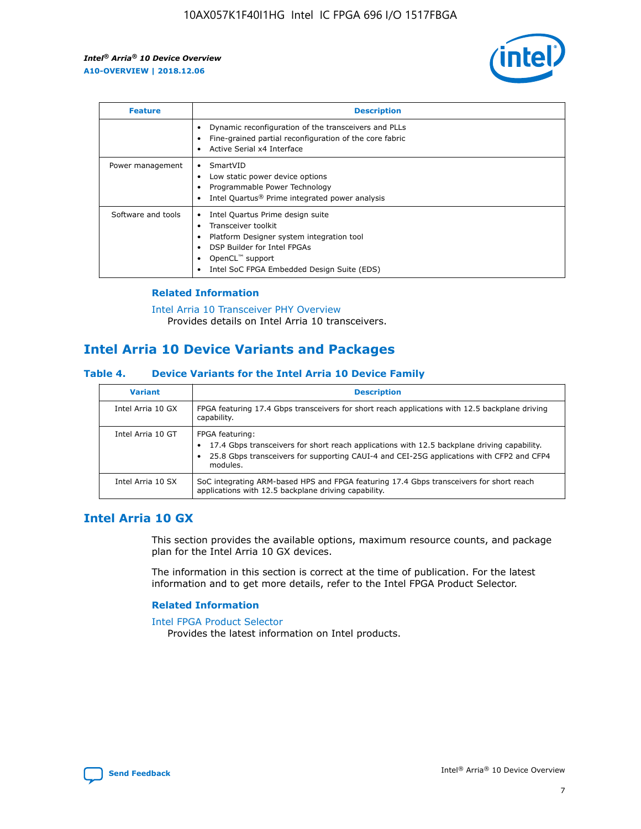

| <b>Feature</b>     | <b>Description</b>                                                                                                                                                                                                    |
|--------------------|-----------------------------------------------------------------------------------------------------------------------------------------------------------------------------------------------------------------------|
|                    | Dynamic reconfiguration of the transceivers and PLLs<br>Fine-grained partial reconfiguration of the core fabric<br>Active Serial x4 Interface                                                                         |
| Power management   | SmartVID<br>Low static power device options<br>Programmable Power Technology<br>Intel Quartus <sup>®</sup> Prime integrated power analysis                                                                            |
| Software and tools | Intel Quartus Prime design suite<br>Transceiver toolkit<br>٠<br>Platform Designer system integration tool<br>DSP Builder for Intel FPGAs<br>OpenCL <sup>™</sup> support<br>Intel SoC FPGA Embedded Design Suite (EDS) |

## **Related Information**

[Intel Arria 10 Transceiver PHY Overview](https://www.intel.com/content/www/us/en/programmable/documentation/nik1398707230472.html#nik1398706768037) Provides details on Intel Arria 10 transceivers.

# **Intel Arria 10 Device Variants and Packages**

#### **Table 4. Device Variants for the Intel Arria 10 Device Family**

| <b>Variant</b>    | <b>Description</b>                                                                                                                                                                                                     |
|-------------------|------------------------------------------------------------------------------------------------------------------------------------------------------------------------------------------------------------------------|
| Intel Arria 10 GX | FPGA featuring 17.4 Gbps transceivers for short reach applications with 12.5 backplane driving<br>capability.                                                                                                          |
| Intel Arria 10 GT | FPGA featuring:<br>17.4 Gbps transceivers for short reach applications with 12.5 backplane driving capability.<br>25.8 Gbps transceivers for supporting CAUI-4 and CEI-25G applications with CFP2 and CFP4<br>modules. |
| Intel Arria 10 SX | SoC integrating ARM-based HPS and FPGA featuring 17.4 Gbps transceivers for short reach<br>applications with 12.5 backplane driving capability.                                                                        |

# **Intel Arria 10 GX**

This section provides the available options, maximum resource counts, and package plan for the Intel Arria 10 GX devices.

The information in this section is correct at the time of publication. For the latest information and to get more details, refer to the Intel FPGA Product Selector.

## **Related Information**

#### [Intel FPGA Product Selector](http://www.altera.com/products/selector/psg-selector.html) Provides the latest information on Intel products.

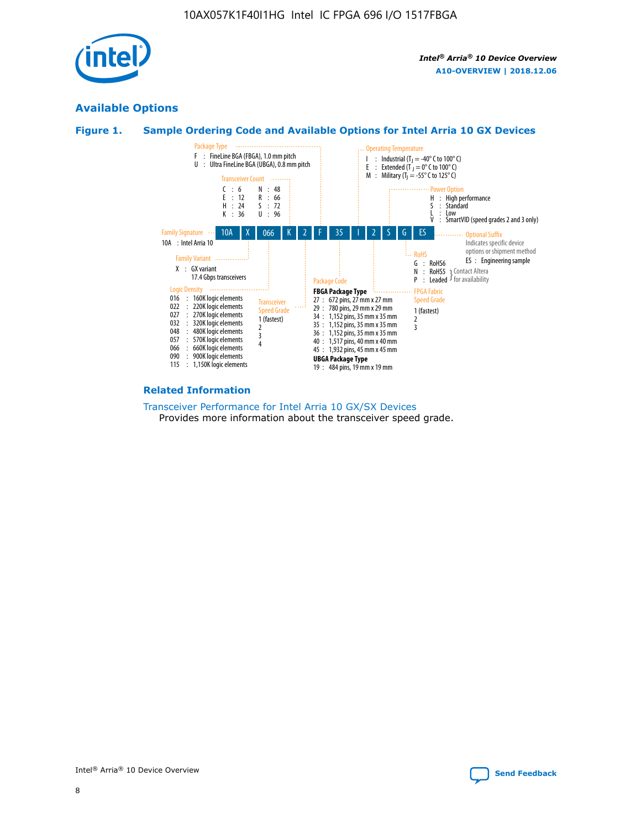

# **Available Options**





#### **Related Information**

[Transceiver Performance for Intel Arria 10 GX/SX Devices](https://www.intel.com/content/www/us/en/programmable/documentation/mcn1413182292568.html#mcn1413213965502) Provides more information about the transceiver speed grade.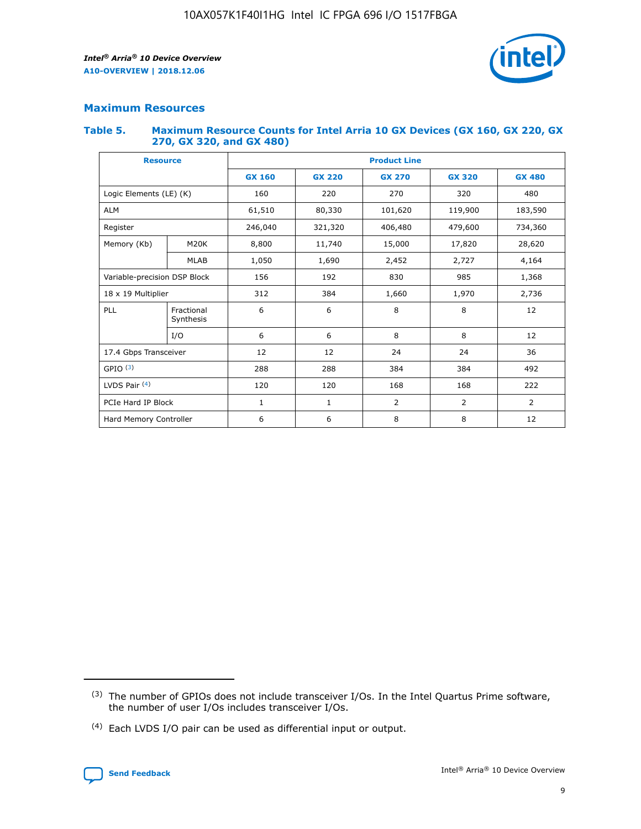

# **Maximum Resources**

#### **Table 5. Maximum Resource Counts for Intel Arria 10 GX Devices (GX 160, GX 220, GX 270, GX 320, and GX 480)**

| <b>Resource</b>         |                              | <b>Product Line</b> |                                                 |                    |                |               |  |  |
|-------------------------|------------------------------|---------------------|-------------------------------------------------|--------------------|----------------|---------------|--|--|
|                         |                              | <b>GX 160</b>       | <b>GX 220</b><br><b>GX 270</b><br><b>GX 320</b> |                    |                | <b>GX 480</b> |  |  |
| Logic Elements (LE) (K) |                              | 160                 | 220                                             | 270                | 320            | 480           |  |  |
| <b>ALM</b>              |                              | 61,510              | 80,330                                          | 101,620            | 119,900        | 183,590       |  |  |
| Register                |                              | 246,040             | 321,320                                         | 479,600<br>406,480 |                | 734,360       |  |  |
| Memory (Kb)             | M <sub>20</sub> K            | 8,800               | 11,740                                          | 15,000             | 17,820         | 28,620        |  |  |
|                         | <b>MLAB</b>                  | 1,050               | 1,690                                           | 2,452              | 2,727          | 4,164         |  |  |
|                         | Variable-precision DSP Block |                     | 192                                             | 830<br>985         |                | 1,368         |  |  |
|                         | 18 x 19 Multiplier           |                     | 384                                             | 1,970<br>1,660     |                | 2,736         |  |  |
| PLL                     | Fractional<br>Synthesis      | 6                   | 6                                               | 8                  | 8              | 12            |  |  |
|                         | I/O                          | 6                   | 6                                               | 8                  | 8              | 12            |  |  |
| 17.4 Gbps Transceiver   |                              | 12                  | 12                                              | 24                 | 24             | 36            |  |  |
| GPIO <sup>(3)</sup>     |                              | 288                 | 288                                             | 384<br>384         |                | 492           |  |  |
| LVDS Pair $(4)$         |                              | 120                 | 120                                             | 168                | 168            | 222           |  |  |
| PCIe Hard IP Block      |                              | 1                   | 1                                               | $\overline{2}$     | $\overline{2}$ | 2             |  |  |
| Hard Memory Controller  |                              | 6                   | 6                                               | 8                  | 8              | 12            |  |  |

<sup>(4)</sup> Each LVDS I/O pair can be used as differential input or output.



<sup>(3)</sup> The number of GPIOs does not include transceiver I/Os. In the Intel Quartus Prime software, the number of user I/Os includes transceiver I/Os.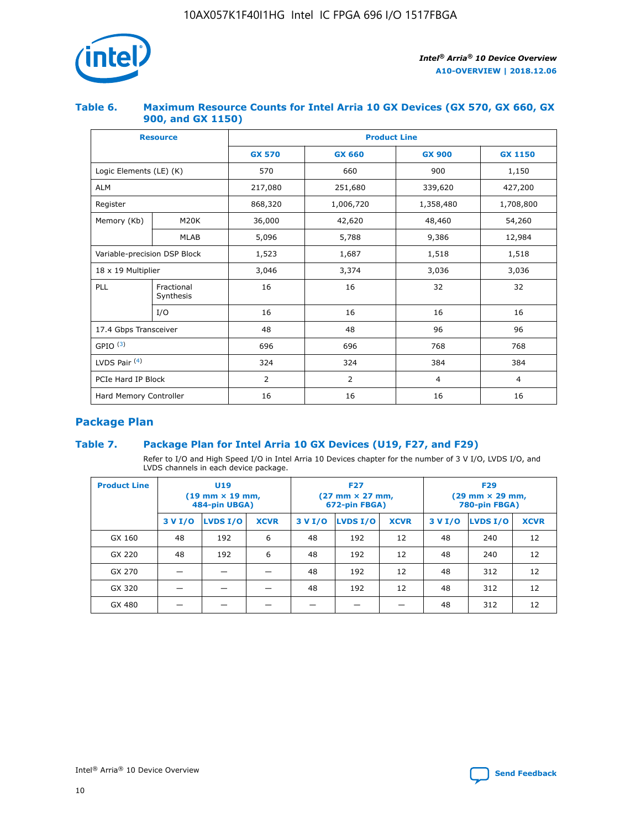

## **Table 6. Maximum Resource Counts for Intel Arria 10 GX Devices (GX 570, GX 660, GX 900, and GX 1150)**

|                              | <b>Resource</b>         | <b>Product Line</b> |                |                |                |  |  |  |
|------------------------------|-------------------------|---------------------|----------------|----------------|----------------|--|--|--|
|                              |                         | <b>GX 570</b>       | <b>GX 660</b>  |                | <b>GX 1150</b> |  |  |  |
| Logic Elements (LE) (K)      |                         | 570                 | 660            | 900            | 1,150          |  |  |  |
| <b>ALM</b>                   |                         | 217,080             | 251,680        | 339,620        | 427,200        |  |  |  |
| Register                     |                         | 868,320             | 1,006,720      | 1,358,480      | 1,708,800      |  |  |  |
| Memory (Kb)                  | <b>M20K</b>             | 36,000              | 42,620         | 48,460         | 54,260         |  |  |  |
|                              | <b>MLAB</b>             | 5,096               | 5,788<br>9,386 |                | 12,984         |  |  |  |
| Variable-precision DSP Block |                         | 1,523               | 1,687          | 1,518          | 1,518          |  |  |  |
|                              | 18 x 19 Multiplier      |                     | 3,374          | 3,036          | 3,036          |  |  |  |
| PLL                          | Fractional<br>Synthesis | 16                  | 16             | 32             | 32             |  |  |  |
|                              | I/O                     | 16                  | 16             | 16             | 16             |  |  |  |
| 17.4 Gbps Transceiver        |                         | 48                  | 48             | 96             | 96             |  |  |  |
| GPIO <sup>(3)</sup>          |                         | 696                 | 696            | 768            | 768            |  |  |  |
| LVDS Pair $(4)$              |                         | 324                 | 324            | 384            | 384            |  |  |  |
| PCIe Hard IP Block           |                         | 2                   | $\overline{2}$ | $\overline{4}$ | $\overline{4}$ |  |  |  |
| Hard Memory Controller       |                         | 16                  | 16             | 16             | 16             |  |  |  |

# **Package Plan**

# **Table 7. Package Plan for Intel Arria 10 GX Devices (U19, F27, and F29)**

Refer to I/O and High Speed I/O in Intel Arria 10 Devices chapter for the number of 3 V I/O, LVDS I/O, and LVDS channels in each device package.

| <b>Product Line</b> | U <sub>19</sub><br>$(19 \text{ mm} \times 19 \text{ mm})$<br>484-pin UBGA) |          |             |         | <b>F27</b><br>(27 mm × 27 mm,<br>672-pin FBGA) |             | <b>F29</b><br>(29 mm × 29 mm,<br>780-pin FBGA) |          |             |  |
|---------------------|----------------------------------------------------------------------------|----------|-------------|---------|------------------------------------------------|-------------|------------------------------------------------|----------|-------------|--|
|                     | 3 V I/O                                                                    | LVDS I/O | <b>XCVR</b> | 3 V I/O | <b>LVDS I/O</b>                                | <b>XCVR</b> | 3 V I/O                                        | LVDS I/O | <b>XCVR</b> |  |
| GX 160              | 48                                                                         | 192      | 6           | 48      | 192                                            | 12          | 48                                             | 240      | 12          |  |
| GX 220              | 48                                                                         | 192      | 6           | 48      | 192                                            | 12          | 48                                             | 240      | 12          |  |
| GX 270              |                                                                            |          |             | 48      | 192                                            | 12          | 48                                             | 312      | 12          |  |
| GX 320              |                                                                            |          |             | 48      | 192                                            | 12          | 48                                             | 312      | 12          |  |
| GX 480              |                                                                            |          |             |         |                                                |             | 48                                             | 312      | 12          |  |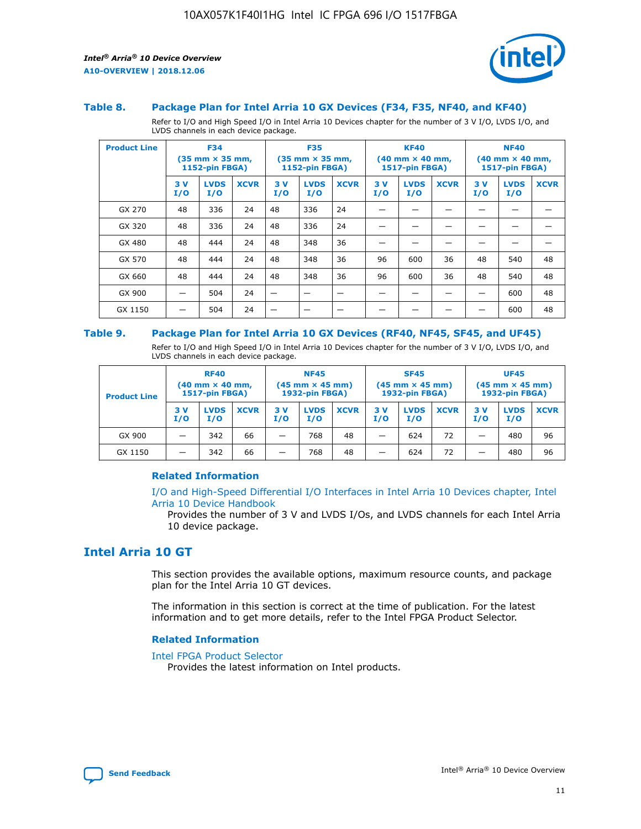

#### **Table 8. Package Plan for Intel Arria 10 GX Devices (F34, F35, NF40, and KF40)**

Refer to I/O and High Speed I/O in Intel Arria 10 Devices chapter for the number of 3 V I/O, LVDS I/O, and LVDS channels in each device package.

| <b>Product Line</b> | <b>F34</b><br>$(35 \text{ mm} \times 35 \text{ mm})$<br><b>1152-pin FBGA)</b> |                    | <b>F35</b><br>(35 mm × 35 mm,<br><b>1152-pin FBGA)</b> |           | <b>KF40</b><br>$(40 \text{ mm} \times 40 \text{ mm})$<br>1517-pin FBGA) |             |           | <b>NF40</b><br>$(40 \text{ mm} \times 40 \text{ mm})$<br>1517-pin FBGA) |             |           |                    |             |
|---------------------|-------------------------------------------------------------------------------|--------------------|--------------------------------------------------------|-----------|-------------------------------------------------------------------------|-------------|-----------|-------------------------------------------------------------------------|-------------|-----------|--------------------|-------------|
|                     | 3V<br>I/O                                                                     | <b>LVDS</b><br>I/O | <b>XCVR</b>                                            | 3V<br>I/O | <b>LVDS</b><br>I/O                                                      | <b>XCVR</b> | 3V<br>I/O | <b>LVDS</b><br>I/O                                                      | <b>XCVR</b> | 3V<br>I/O | <b>LVDS</b><br>I/O | <b>XCVR</b> |
| GX 270              | 48                                                                            | 336                | 24                                                     | 48        | 336                                                                     | 24          |           |                                                                         |             |           |                    |             |
| GX 320              | 48                                                                            | 336                | 24                                                     | 48        | 336                                                                     | 24          |           |                                                                         |             |           |                    |             |
| GX 480              | 48                                                                            | 444                | 24                                                     | 48        | 348                                                                     | 36          |           |                                                                         |             |           |                    |             |
| GX 570              | 48                                                                            | 444                | 24                                                     | 48        | 348                                                                     | 36          | 96        | 600                                                                     | 36          | 48        | 540                | 48          |
| GX 660              | 48                                                                            | 444                | 24                                                     | 48        | 348                                                                     | 36          | 96        | 600                                                                     | 36          | 48        | 540                | 48          |
| GX 900              |                                                                               | 504                | 24                                                     | –         |                                                                         |             |           |                                                                         |             |           | 600                | 48          |
| GX 1150             |                                                                               | 504                | 24                                                     |           |                                                                         |             |           |                                                                         |             |           | 600                | 48          |

#### **Table 9. Package Plan for Intel Arria 10 GX Devices (RF40, NF45, SF45, and UF45)**

Refer to I/O and High Speed I/O in Intel Arria 10 Devices chapter for the number of 3 V I/O, LVDS I/O, and LVDS channels in each device package.

| <b>Product Line</b> | <b>RF40</b><br>$(40 \text{ mm} \times 40 \text{ mm})$<br>1517-pin FBGA) |                    |             | <b>NF45</b><br>$(45 \text{ mm} \times 45 \text{ mm})$<br><b>1932-pin FBGA)</b> |                    |             | <b>SF45</b><br>$(45 \text{ mm} \times 45 \text{ mm})$<br><b>1932-pin FBGA)</b> |                    |             | <b>UF45</b><br>$(45 \text{ mm} \times 45 \text{ mm})$<br><b>1932-pin FBGA)</b> |                    |             |
|---------------------|-------------------------------------------------------------------------|--------------------|-------------|--------------------------------------------------------------------------------|--------------------|-------------|--------------------------------------------------------------------------------|--------------------|-------------|--------------------------------------------------------------------------------|--------------------|-------------|
|                     | 3V<br>I/O                                                               | <b>LVDS</b><br>I/O | <b>XCVR</b> | 3V<br>I/O                                                                      | <b>LVDS</b><br>I/O | <b>XCVR</b> | 3V<br>I/O                                                                      | <b>LVDS</b><br>I/O | <b>XCVR</b> | 3V<br>I/O                                                                      | <b>LVDS</b><br>I/O | <b>XCVR</b> |
| GX 900              |                                                                         | 342                | 66          | -                                                                              | 768                | 48          | _                                                                              | 624                | 72          |                                                                                | 480                | 96          |
| GX 1150             |                                                                         | 342                | 66          | -                                                                              | 768                | 48          | -                                                                              | 624                | 72          |                                                                                | 480                | 96          |

### **Related Information**

[I/O and High-Speed Differential I/O Interfaces in Intel Arria 10 Devices chapter, Intel](https://www.intel.com/content/www/us/en/programmable/documentation/sam1403482614086.html#sam1403482030321) [Arria 10 Device Handbook](https://www.intel.com/content/www/us/en/programmable/documentation/sam1403482614086.html#sam1403482030321)

Provides the number of 3 V and LVDS I/Os, and LVDS channels for each Intel Arria 10 device package.

# **Intel Arria 10 GT**

This section provides the available options, maximum resource counts, and package plan for the Intel Arria 10 GT devices.

The information in this section is correct at the time of publication. For the latest information and to get more details, refer to the Intel FPGA Product Selector.

#### **Related Information**

#### [Intel FPGA Product Selector](http://www.altera.com/products/selector/psg-selector.html)

Provides the latest information on Intel products.

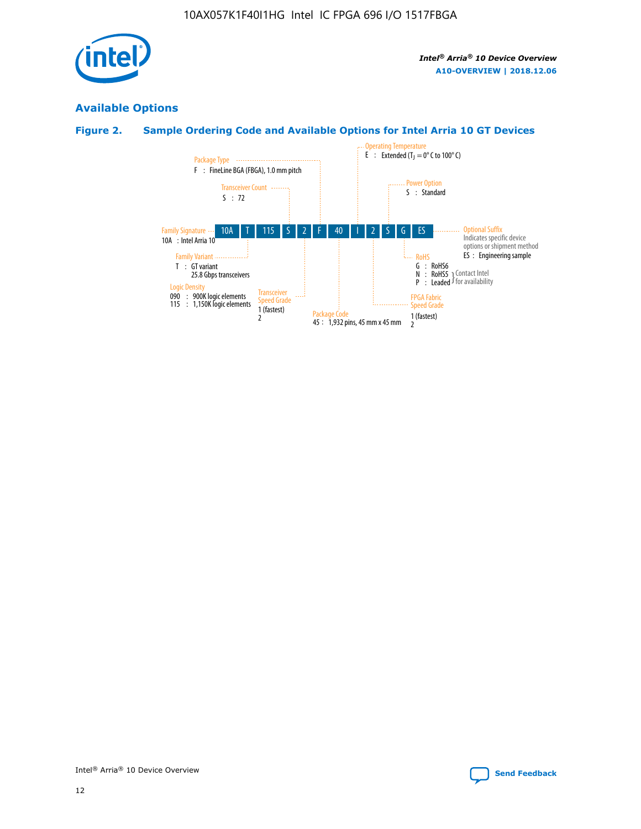

# **Available Options**

# **Figure 2. Sample Ordering Code and Available Options for Intel Arria 10 GT Devices**

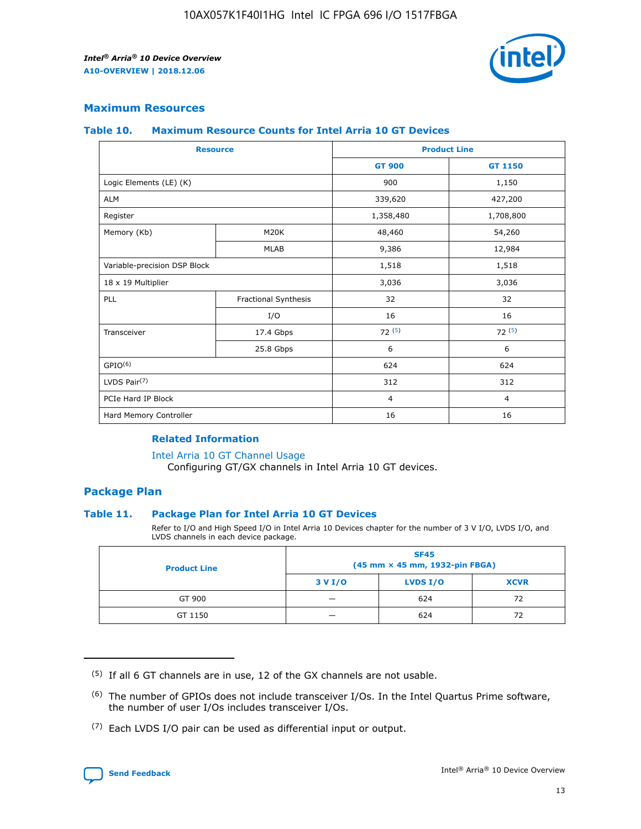

# **Maximum Resources**

#### **Table 10. Maximum Resource Counts for Intel Arria 10 GT Devices**

| <b>Resource</b>              |                      |                | <b>Product Line</b> |  |
|------------------------------|----------------------|----------------|---------------------|--|
|                              |                      | <b>GT 900</b>  | GT 1150             |  |
| Logic Elements (LE) (K)      |                      | 900            | 1,150               |  |
| <b>ALM</b>                   |                      | 339,620        | 427,200             |  |
| Register                     |                      | 1,358,480      | 1,708,800           |  |
| Memory (Kb)                  | M20K                 | 48,460         | 54,260              |  |
|                              | <b>MLAB</b>          | 9,386          | 12,984              |  |
| Variable-precision DSP Block |                      | 1,518          | 1,518               |  |
| 18 x 19 Multiplier           |                      | 3,036          | 3,036               |  |
| <b>PLL</b>                   | Fractional Synthesis | 32             | 32                  |  |
|                              | I/O                  | 16             | 16                  |  |
| Transceiver                  | 17.4 Gbps            | 72(5)          | 72(5)               |  |
|                              | 25.8 Gbps            | 6              | 6                   |  |
| GPIO <sup>(6)</sup>          |                      | 624            | 624                 |  |
| LVDS Pair $(7)$              |                      | 312            | 312                 |  |
| PCIe Hard IP Block           |                      | $\overline{4}$ | $\overline{4}$      |  |
| Hard Memory Controller       |                      | 16             | 16                  |  |

## **Related Information**

#### [Intel Arria 10 GT Channel Usage](https://www.intel.com/content/www/us/en/programmable/documentation/nik1398707230472.html#nik1398707008178)

Configuring GT/GX channels in Intel Arria 10 GT devices.

## **Package Plan**

### **Table 11. Package Plan for Intel Arria 10 GT Devices**

Refer to I/O and High Speed I/O in Intel Arria 10 Devices chapter for the number of 3 V I/O, LVDS I/O, and LVDS channels in each device package.

| <b>Product Line</b> | <b>SF45</b><br>(45 mm × 45 mm, 1932-pin FBGA) |                 |             |  |  |  |
|---------------------|-----------------------------------------------|-----------------|-------------|--|--|--|
|                     | 3 V I/O                                       | <b>LVDS I/O</b> | <b>XCVR</b> |  |  |  |
| GT 900              |                                               | 624             | 72          |  |  |  |
| GT 1150             |                                               | 624             | 72          |  |  |  |

<sup>(7)</sup> Each LVDS I/O pair can be used as differential input or output.



 $(5)$  If all 6 GT channels are in use, 12 of the GX channels are not usable.

<sup>(6)</sup> The number of GPIOs does not include transceiver I/Os. In the Intel Quartus Prime software, the number of user I/Os includes transceiver I/Os.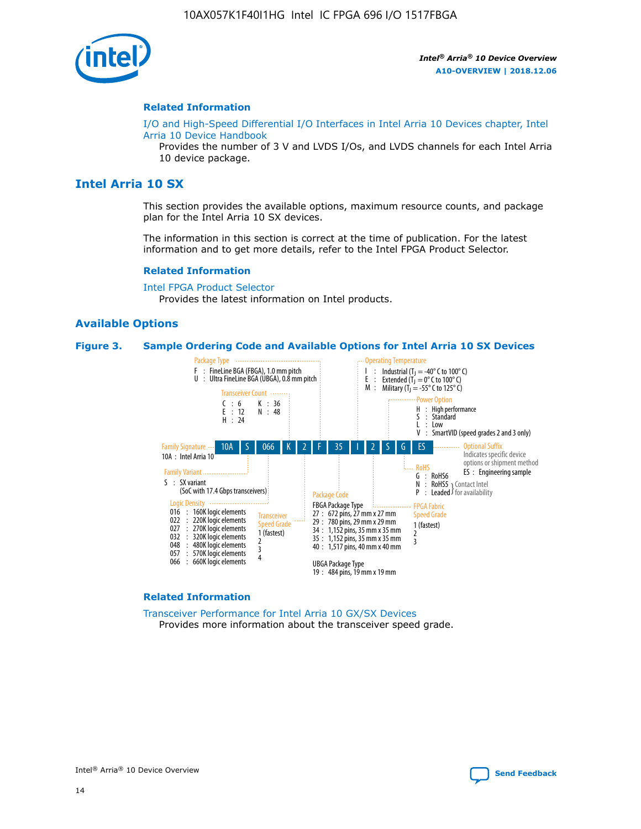

#### **Related Information**

[I/O and High-Speed Differential I/O Interfaces in Intel Arria 10 Devices chapter, Intel](https://www.intel.com/content/www/us/en/programmable/documentation/sam1403482614086.html#sam1403482030321) [Arria 10 Device Handbook](https://www.intel.com/content/www/us/en/programmable/documentation/sam1403482614086.html#sam1403482030321)

Provides the number of 3 V and LVDS I/Os, and LVDS channels for each Intel Arria 10 device package.

# **Intel Arria 10 SX**

This section provides the available options, maximum resource counts, and package plan for the Intel Arria 10 SX devices.

The information in this section is correct at the time of publication. For the latest information and to get more details, refer to the Intel FPGA Product Selector.

#### **Related Information**

[Intel FPGA Product Selector](http://www.altera.com/products/selector/psg-selector.html) Provides the latest information on Intel products.

### **Available Options**

#### **Figure 3. Sample Ordering Code and Available Options for Intel Arria 10 SX Devices**



#### **Related Information**

[Transceiver Performance for Intel Arria 10 GX/SX Devices](https://www.intel.com/content/www/us/en/programmable/documentation/mcn1413182292568.html#mcn1413213965502) Provides more information about the transceiver speed grade.

Intel® Arria® 10 Device Overview **[Send Feedback](mailto:FPGAtechdocfeedback@intel.com?subject=Feedback%20on%20Intel%20Arria%2010%20Device%20Overview%20(A10-OVERVIEW%202018.12.06)&body=We%20appreciate%20your%20feedback.%20In%20your%20comments,%20also%20specify%20the%20page%20number%20or%20paragraph.%20Thank%20you.)**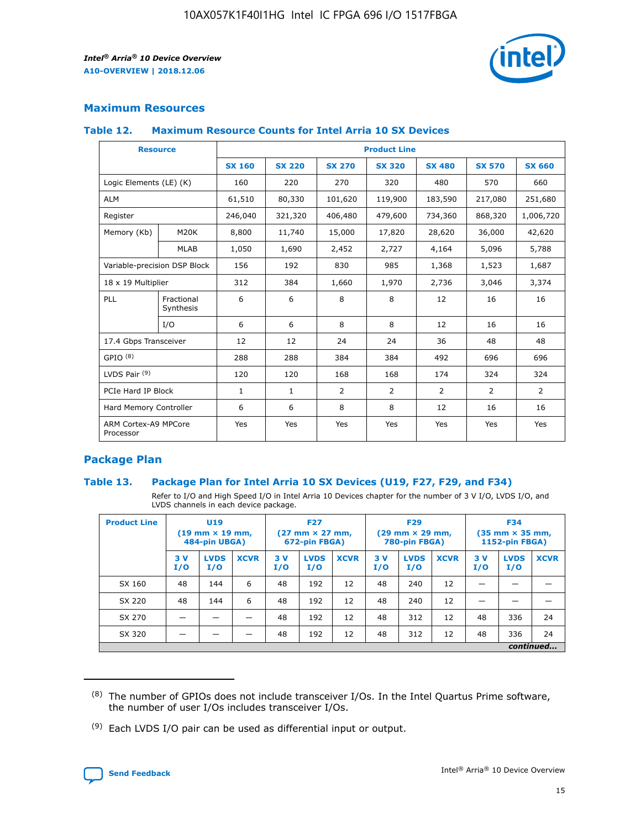

# **Maximum Resources**

### **Table 12. Maximum Resource Counts for Intel Arria 10 SX Devices**

|                                   | <b>Resource</b>         | <b>Product Line</b> |               |                |                |                |                |                |  |  |  |
|-----------------------------------|-------------------------|---------------------|---------------|----------------|----------------|----------------|----------------|----------------|--|--|--|
|                                   |                         | <b>SX 160</b>       | <b>SX 220</b> | <b>SX 270</b>  | <b>SX 320</b>  | <b>SX 480</b>  | <b>SX 570</b>  | <b>SX 660</b>  |  |  |  |
| Logic Elements (LE) (K)           |                         | 160                 | 220           | 270            | 320            | 480            | 570            | 660            |  |  |  |
| <b>ALM</b>                        |                         | 61,510              | 80,330        | 101,620        | 119,900        | 183,590        | 217,080        | 251,680        |  |  |  |
| Register                          |                         | 246,040             | 321,320       | 406,480        | 479,600        | 734,360        | 868,320        | 1,006,720      |  |  |  |
| Memory (Kb)                       | M <sub>20</sub> K       | 8,800               | 11,740        | 15,000         | 17,820         | 28,620         | 36,000         | 42,620         |  |  |  |
|                                   | <b>MLAB</b>             | 1,050               | 1,690         | 2,452          | 2,727          | 4,164          | 5,096          | 5,788          |  |  |  |
| Variable-precision DSP Block      |                         | 156                 | 192           | 830            | 985            | 1,368          | 1,523          | 1,687          |  |  |  |
| 18 x 19 Multiplier                |                         | 312                 | 384           | 1,660          | 1,970          | 2,736          | 3,046          | 3,374          |  |  |  |
| <b>PLL</b>                        | Fractional<br>Synthesis | 6                   | 6             | 8              | 8              | 12             | 16             | 16             |  |  |  |
|                                   | I/O                     | 6                   | 6             | 8              | 8              | 12             | 16             | 16             |  |  |  |
| 17.4 Gbps Transceiver             |                         | 12                  | 12            | 24             | 24             | 36             | 48             | 48             |  |  |  |
| GPIO <sup>(8)</sup>               |                         | 288                 | 288           | 384            | 384            | 492            | 696            | 696            |  |  |  |
| LVDS Pair $(9)$                   |                         | 120                 | 120           | 168            | 168            | 174            | 324            | 324            |  |  |  |
| PCIe Hard IP Block                |                         | $\mathbf{1}$        | $\mathbf{1}$  | $\overline{2}$ | $\overline{2}$ | $\overline{2}$ | $\overline{2}$ | $\overline{2}$ |  |  |  |
| Hard Memory Controller            |                         | 6                   | 6             | 8              | 8              | 12             | 16             | 16             |  |  |  |
| ARM Cortex-A9 MPCore<br>Processor |                         | Yes                 | Yes           | Yes            | Yes            | Yes            | Yes            | Yes            |  |  |  |

# **Package Plan**

### **Table 13. Package Plan for Intel Arria 10 SX Devices (U19, F27, F29, and F34)**

Refer to I/O and High Speed I/O in Intel Arria 10 Devices chapter for the number of 3 V I/O, LVDS I/O, and LVDS channels in each device package.

| <b>Product Line</b> | <b>U19</b><br>$(19 \text{ mm} \times 19 \text{ mm})$<br>484-pin UBGA) |                    | <b>F27</b><br>$(27 \text{ mm} \times 27 \text{ mm})$<br>672-pin FBGA) |           | <b>F29</b><br>$(29$ mm $\times$ 29 mm,<br>780-pin FBGA) |             |            | <b>F34</b><br>$(35 \text{ mm} \times 35 \text{ mm})$<br>1152-pin FBGA) |             |           |                    |             |
|---------------------|-----------------------------------------------------------------------|--------------------|-----------------------------------------------------------------------|-----------|---------------------------------------------------------|-------------|------------|------------------------------------------------------------------------|-------------|-----------|--------------------|-------------|
|                     | 3V<br>I/O                                                             | <b>LVDS</b><br>I/O | <b>XCVR</b>                                                           | 3V<br>I/O | <b>LVDS</b><br>I/O                                      | <b>XCVR</b> | 3 V<br>I/O | <b>LVDS</b><br>I/O                                                     | <b>XCVR</b> | 3V<br>I/O | <b>LVDS</b><br>I/O | <b>XCVR</b> |
| SX 160              | 48                                                                    | 144                | 6                                                                     | 48        | 192                                                     | 12          | 48         | 240                                                                    | 12          | –         |                    |             |
| SX 220              | 48                                                                    | 144                | 6                                                                     | 48        | 192                                                     | 12          | 48         | 240                                                                    | 12          |           |                    |             |
| SX 270              |                                                                       |                    |                                                                       | 48        | 192                                                     | 12          | 48         | 312                                                                    | 12          | 48        | 336                | 24          |
| SX 320              |                                                                       |                    |                                                                       | 48        | 192                                                     | 12          | 48         | 312                                                                    | 12          | 48        | 336                | 24          |
|                     | continued                                                             |                    |                                                                       |           |                                                         |             |            |                                                                        |             |           |                    |             |

 $(8)$  The number of GPIOs does not include transceiver I/Os. In the Intel Quartus Prime software, the number of user I/Os includes transceiver I/Os.

 $(9)$  Each LVDS I/O pair can be used as differential input or output.

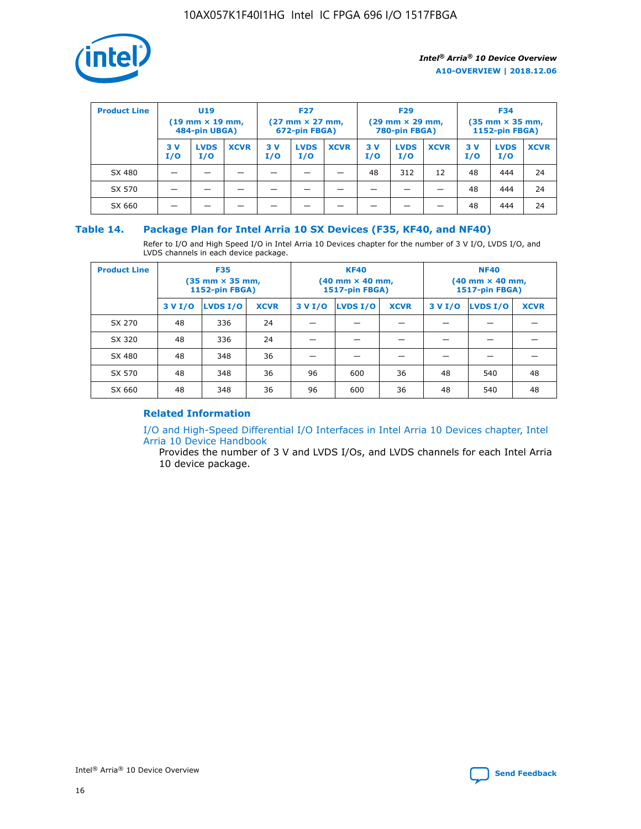

| <b>Product Line</b> | U <sub>19</sub><br>$(19 \text{ mm} \times 19 \text{ mm})$<br>484-pin UBGA) |                    | <b>F27</b><br>$(27 \text{ mm} \times 27 \text{ mm})$<br>672-pin FBGA) |           | <b>F29</b><br>$(29 \text{ mm} \times 29 \text{ mm})$<br>780-pin FBGA) |             |           | <b>F34</b><br>$(35$ mm $\times$ 35 mm,<br><b>1152-pin FBGA)</b> |             |           |                    |             |
|---------------------|----------------------------------------------------------------------------|--------------------|-----------------------------------------------------------------------|-----------|-----------------------------------------------------------------------|-------------|-----------|-----------------------------------------------------------------|-------------|-----------|--------------------|-------------|
|                     | 3V<br>I/O                                                                  | <b>LVDS</b><br>I/O | <b>XCVR</b>                                                           | 3V<br>I/O | <b>LVDS</b><br>I/O                                                    | <b>XCVR</b> | 3V<br>I/O | <b>LVDS</b><br>I/O                                              | <b>XCVR</b> | 3V<br>I/O | <b>LVDS</b><br>I/O | <b>XCVR</b> |
| SX 480              |                                                                            |                    |                                                                       |           |                                                                       |             | 48        | 312                                                             | 12          | 48        | 444                | 24          |
| SX 570              |                                                                            |                    |                                                                       |           |                                                                       |             |           |                                                                 |             | 48        | 444                | 24          |
| SX 660              |                                                                            |                    |                                                                       |           |                                                                       |             |           |                                                                 |             | 48        | 444                | 24          |

## **Table 14. Package Plan for Intel Arria 10 SX Devices (F35, KF40, and NF40)**

Refer to I/O and High Speed I/O in Intel Arria 10 Devices chapter for the number of 3 V I/O, LVDS I/O, and LVDS channels in each device package.

| <b>Product Line</b> | <b>F35</b><br>$(35 \text{ mm} \times 35 \text{ mm})$<br><b>1152-pin FBGA)</b> |          |             |                                           | <b>KF40</b><br>(40 mm × 40 mm,<br>1517-pin FBGA) |    | <b>NF40</b><br>$(40 \text{ mm} \times 40 \text{ mm})$<br>1517-pin FBGA) |          |             |  |
|---------------------|-------------------------------------------------------------------------------|----------|-------------|-------------------------------------------|--------------------------------------------------|----|-------------------------------------------------------------------------|----------|-------------|--|
|                     | 3 V I/O                                                                       | LVDS I/O | <b>XCVR</b> | <b>LVDS I/O</b><br><b>XCVR</b><br>3 V I/O |                                                  |    | 3 V I/O                                                                 | LVDS I/O | <b>XCVR</b> |  |
| SX 270              | 48                                                                            | 336      | 24          |                                           |                                                  |    |                                                                         |          |             |  |
| SX 320              | 48                                                                            | 336      | 24          |                                           |                                                  |    |                                                                         |          |             |  |
| SX 480              | 48                                                                            | 348      | 36          |                                           |                                                  |    |                                                                         |          |             |  |
| SX 570              | 48                                                                            | 348      | 36          | 96                                        | 600                                              | 36 | 48                                                                      | 540      | 48          |  |
| SX 660              | 48                                                                            | 348      | 36          | 96                                        | 600                                              | 36 | 48                                                                      | 540      | 48          |  |

# **Related Information**

[I/O and High-Speed Differential I/O Interfaces in Intel Arria 10 Devices chapter, Intel](https://www.intel.com/content/www/us/en/programmable/documentation/sam1403482614086.html#sam1403482030321) [Arria 10 Device Handbook](https://www.intel.com/content/www/us/en/programmable/documentation/sam1403482614086.html#sam1403482030321)

Provides the number of 3 V and LVDS I/Os, and LVDS channels for each Intel Arria 10 device package.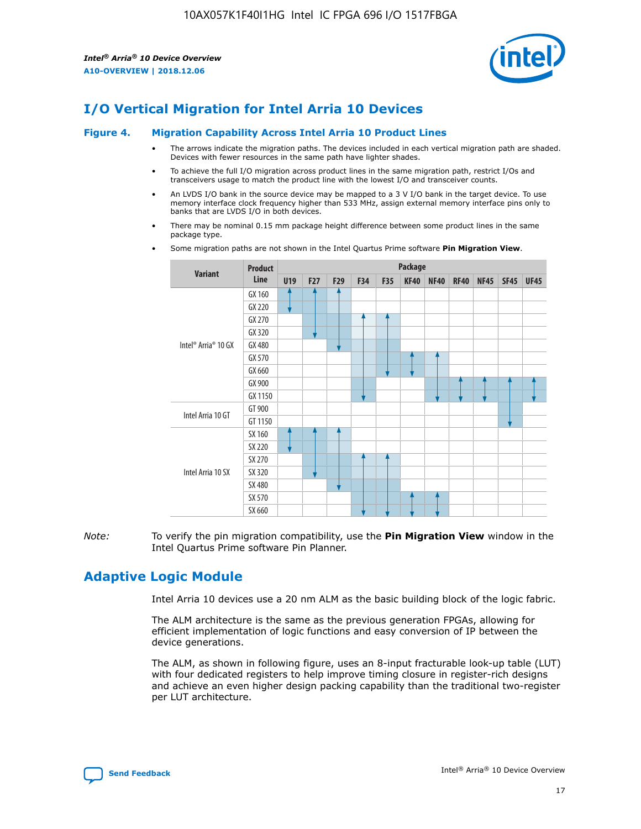

# **I/O Vertical Migration for Intel Arria 10 Devices**

#### **Figure 4. Migration Capability Across Intel Arria 10 Product Lines**

- The arrows indicate the migration paths. The devices included in each vertical migration path are shaded. Devices with fewer resources in the same path have lighter shades.
- To achieve the full I/O migration across product lines in the same migration path, restrict I/Os and transceivers usage to match the product line with the lowest I/O and transceiver counts.
- An LVDS I/O bank in the source device may be mapped to a 3 V I/O bank in the target device. To use memory interface clock frequency higher than 533 MHz, assign external memory interface pins only to banks that are LVDS I/O in both devices.
- There may be nominal 0.15 mm package height difference between some product lines in the same package type.
	- **Variant Product Line Package U19 F27 F29 F34 F35 KF40 NF40 RF40 NF45 SF45 UF45** Intel® Arria® 10 GX GX 160 GX 220 GX 270 GX 320 GX 480 GX 570 GX 660 GX 900 GX 1150 Intel Arria 10 GT GT 900 GT 1150 Intel Arria 10 SX SX 160 SX 220 SX 270 SX 320 SX 480 SX 570 SX 660
- Some migration paths are not shown in the Intel Quartus Prime software **Pin Migration View**.

*Note:* To verify the pin migration compatibility, use the **Pin Migration View** window in the Intel Quartus Prime software Pin Planner.

# **Adaptive Logic Module**

Intel Arria 10 devices use a 20 nm ALM as the basic building block of the logic fabric.

The ALM architecture is the same as the previous generation FPGAs, allowing for efficient implementation of logic functions and easy conversion of IP between the device generations.

The ALM, as shown in following figure, uses an 8-input fracturable look-up table (LUT) with four dedicated registers to help improve timing closure in register-rich designs and achieve an even higher design packing capability than the traditional two-register per LUT architecture.

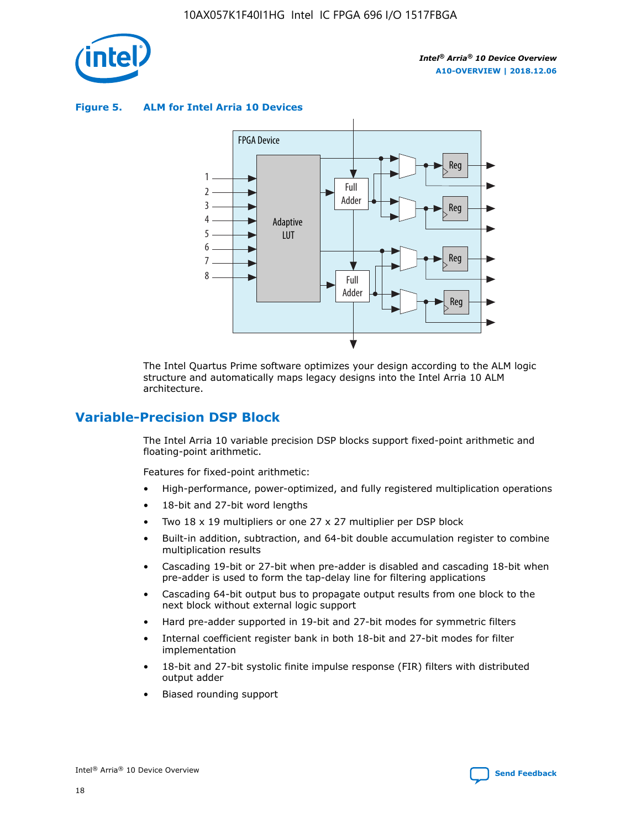

**Figure 5. ALM for Intel Arria 10 Devices**



The Intel Quartus Prime software optimizes your design according to the ALM logic structure and automatically maps legacy designs into the Intel Arria 10 ALM architecture.

# **Variable-Precision DSP Block**

The Intel Arria 10 variable precision DSP blocks support fixed-point arithmetic and floating-point arithmetic.

Features for fixed-point arithmetic:

- High-performance, power-optimized, and fully registered multiplication operations
- 18-bit and 27-bit word lengths
- Two 18 x 19 multipliers or one 27 x 27 multiplier per DSP block
- Built-in addition, subtraction, and 64-bit double accumulation register to combine multiplication results
- Cascading 19-bit or 27-bit when pre-adder is disabled and cascading 18-bit when pre-adder is used to form the tap-delay line for filtering applications
- Cascading 64-bit output bus to propagate output results from one block to the next block without external logic support
- Hard pre-adder supported in 19-bit and 27-bit modes for symmetric filters
- Internal coefficient register bank in both 18-bit and 27-bit modes for filter implementation
- 18-bit and 27-bit systolic finite impulse response (FIR) filters with distributed output adder
- Biased rounding support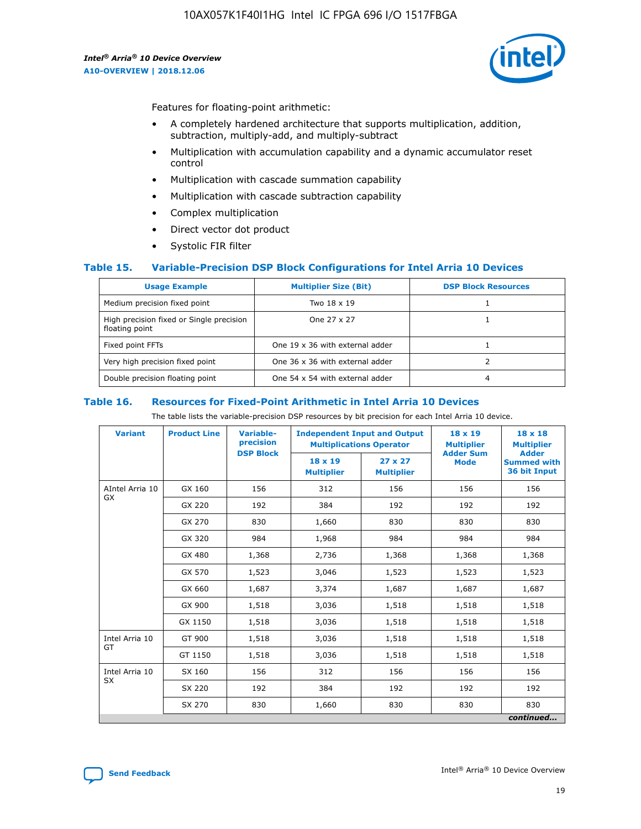

Features for floating-point arithmetic:

- A completely hardened architecture that supports multiplication, addition, subtraction, multiply-add, and multiply-subtract
- Multiplication with accumulation capability and a dynamic accumulator reset control
- Multiplication with cascade summation capability
- Multiplication with cascade subtraction capability
- Complex multiplication
- Direct vector dot product
- Systolic FIR filter

### **Table 15. Variable-Precision DSP Block Configurations for Intel Arria 10 Devices**

| <b>Usage Example</b>                                       | <b>Multiplier Size (Bit)</b>    | <b>DSP Block Resources</b> |
|------------------------------------------------------------|---------------------------------|----------------------------|
| Medium precision fixed point                               | Two 18 x 19                     |                            |
| High precision fixed or Single precision<br>floating point | One 27 x 27                     |                            |
| Fixed point FFTs                                           | One 19 x 36 with external adder |                            |
| Very high precision fixed point                            | One 36 x 36 with external adder |                            |
| Double precision floating point                            | One 54 x 54 with external adder | 4                          |

#### **Table 16. Resources for Fixed-Point Arithmetic in Intel Arria 10 Devices**

The table lists the variable-precision DSP resources by bit precision for each Intel Arria 10 device.

| <b>Variant</b>  | <b>Product Line</b> | <b>Variable-</b><br>precision<br><b>DSP Block</b> | <b>Independent Input and Output</b><br><b>Multiplications Operator</b> |                                     | 18 x 19<br><b>Multiplier</b><br><b>Adder Sum</b> | $18 \times 18$<br><b>Multiplier</b><br><b>Adder</b> |
|-----------------|---------------------|---------------------------------------------------|------------------------------------------------------------------------|-------------------------------------|--------------------------------------------------|-----------------------------------------------------|
|                 |                     |                                                   | 18 x 19<br><b>Multiplier</b>                                           | $27 \times 27$<br><b>Multiplier</b> | <b>Mode</b>                                      | <b>Summed with</b><br>36 bit Input                  |
| AIntel Arria 10 | GX 160              | 156                                               | 312                                                                    | 156                                 | 156                                              | 156                                                 |
| GX              | GX 220              | 192                                               | 384                                                                    | 192                                 | 192                                              | 192                                                 |
|                 | GX 270              | 830                                               | 1,660                                                                  | 830                                 | 830                                              | 830                                                 |
|                 | GX 320              | 984                                               | 1,968                                                                  | 984                                 | 984                                              | 984                                                 |
|                 | GX 480              | 1,368                                             | 2,736                                                                  | 1,368                               | 1,368                                            | 1,368                                               |
|                 | GX 570              | 1,523                                             | 3,046                                                                  | 1,523                               | 1,523                                            | 1,523                                               |
|                 | GX 660              | 1,687                                             | 3,374                                                                  | 1,687                               | 1,687                                            | 1,687                                               |
|                 | GX 900              | 1,518                                             | 3,036                                                                  | 1,518                               | 1,518                                            | 1,518                                               |
|                 | GX 1150             | 1,518                                             | 3,036                                                                  | 1,518                               | 1,518                                            | 1,518                                               |
| Intel Arria 10  | GT 900              | 1,518                                             | 3,036                                                                  | 1,518                               | 1,518                                            | 1,518                                               |
| GT              | GT 1150             | 1,518                                             | 3,036                                                                  | 1,518                               | 1,518                                            | 1,518                                               |
| Intel Arria 10  | SX 160              | 156                                               | 312                                                                    | 156                                 | 156                                              | 156                                                 |
| <b>SX</b>       | SX 220<br>192       |                                                   | 384                                                                    | 192                                 | 192                                              | 192                                                 |
|                 | SX 270              | 830                                               | 1,660                                                                  | 830                                 | 830                                              | 830                                                 |
|                 |                     |                                                   |                                                                        |                                     |                                                  | continued                                           |

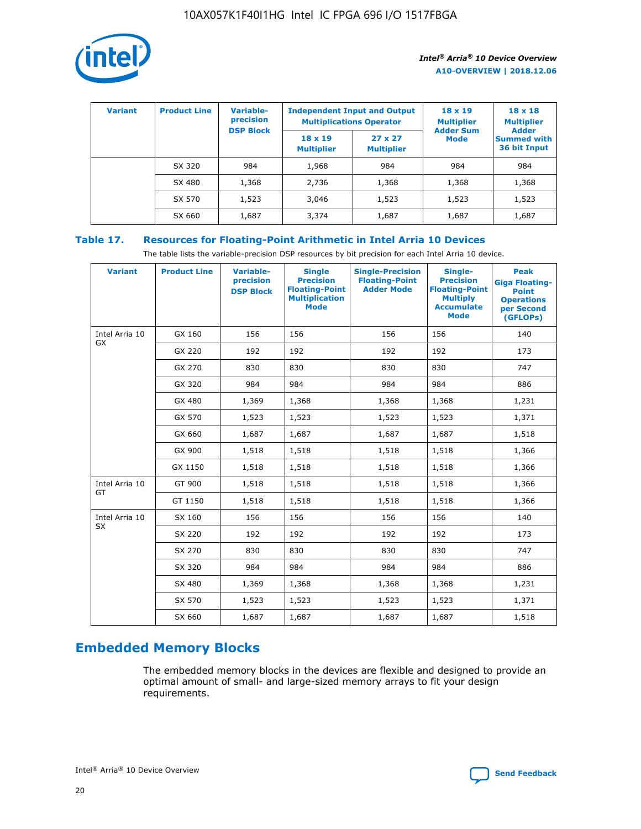

| <b>Variant</b> | <b>Product Line</b> | Variable-<br>precision | <b>Independent Input and Output</b><br><b>Multiplications Operator</b> |                                     | $18 \times 19$<br><b>Multiplier</b> | $18 \times 18$<br><b>Multiplier</b><br><b>Adder</b> |  |
|----------------|---------------------|------------------------|------------------------------------------------------------------------|-------------------------------------|-------------------------------------|-----------------------------------------------------|--|
|                |                     | <b>DSP Block</b>       | $18 \times 19$<br><b>Multiplier</b>                                    | $27 \times 27$<br><b>Multiplier</b> | <b>Adder Sum</b><br><b>Mode</b>     | <b>Summed with</b><br>36 bit Input                  |  |
|                | SX 320              | 984                    | 1,968                                                                  | 984                                 | 984                                 | 984                                                 |  |
|                | SX 480              | 1,368                  | 2,736                                                                  | 1,368                               | 1,368                               | 1,368                                               |  |
|                | SX 570              | 1,523                  | 3,046                                                                  | 1,523                               | 1,523                               | 1,523                                               |  |
|                | SX 660              | 1,687                  | 3,374                                                                  | 1,687                               | 1,687                               | 1,687                                               |  |

# **Table 17. Resources for Floating-Point Arithmetic in Intel Arria 10 Devices**

The table lists the variable-precision DSP resources by bit precision for each Intel Arria 10 device.

| <b>Variant</b> | <b>Product Line</b> | <b>Variable-</b><br>precision<br><b>DSP Block</b> | <b>Single</b><br><b>Precision</b><br><b>Floating-Point</b><br><b>Multiplication</b><br><b>Mode</b> | <b>Single-Precision</b><br><b>Floating-Point</b><br><b>Adder Mode</b> | Single-<br><b>Precision</b><br><b>Floating-Point</b><br><b>Multiply</b><br><b>Accumulate</b><br><b>Mode</b> | <b>Peak</b><br><b>Giga Floating-</b><br><b>Point</b><br><b>Operations</b><br>per Second<br>(GFLOPs) |
|----------------|---------------------|---------------------------------------------------|----------------------------------------------------------------------------------------------------|-----------------------------------------------------------------------|-------------------------------------------------------------------------------------------------------------|-----------------------------------------------------------------------------------------------------|
| Intel Arria 10 | GX 160              | 156                                               | 156                                                                                                | 156                                                                   | 156                                                                                                         | 140                                                                                                 |
| GX             | GX 220              | 192                                               | 192                                                                                                | 192                                                                   | 192                                                                                                         | 173                                                                                                 |
|                | GX 270              | 830                                               | 830                                                                                                | 830                                                                   | 830                                                                                                         | 747                                                                                                 |
|                | GX 320              | 984                                               | 984                                                                                                | 984                                                                   | 984                                                                                                         | 886                                                                                                 |
|                | GX 480              | 1,369                                             | 1,368                                                                                              | 1,368                                                                 | 1,368                                                                                                       | 1,231                                                                                               |
|                | GX 570              | 1,523                                             | 1,523                                                                                              | 1,523                                                                 | 1,523                                                                                                       | 1,371                                                                                               |
|                | GX 660              | 1,687                                             | 1,687                                                                                              | 1,687                                                                 | 1,687                                                                                                       | 1,518                                                                                               |
|                | GX 900              | 1,518                                             | 1,518                                                                                              | 1,518                                                                 | 1,518                                                                                                       | 1,366                                                                                               |
|                | GX 1150             | 1,518                                             | 1,518                                                                                              | 1,518                                                                 | 1,518                                                                                                       | 1,366                                                                                               |
| Intel Arria 10 | GT 900              | 1,518                                             | 1,518                                                                                              | 1,518                                                                 | 1,518                                                                                                       | 1,366                                                                                               |
| GT             | GT 1150             | 1,518                                             | 1,518                                                                                              | 1,518                                                                 | 1,518                                                                                                       | 1,366                                                                                               |
| Intel Arria 10 | SX 160              | 156                                               | 156                                                                                                | 156                                                                   | 156                                                                                                         | 140                                                                                                 |
| <b>SX</b>      | SX 220              | 192                                               | 192                                                                                                | 192                                                                   | 192                                                                                                         | 173                                                                                                 |
|                | SX 270              | 830                                               | 830                                                                                                | 830                                                                   | 830                                                                                                         | 747                                                                                                 |
|                | SX 320              | 984                                               | 984                                                                                                | 984                                                                   | 984                                                                                                         | 886                                                                                                 |
|                | SX 480              | 1,369                                             | 1,368                                                                                              | 1,368                                                                 | 1,368                                                                                                       | 1,231                                                                                               |
|                | SX 570              | 1,523                                             | 1,523                                                                                              | 1,523                                                                 | 1,523                                                                                                       | 1,371                                                                                               |
|                | SX 660              | 1,687                                             | 1,687                                                                                              | 1,687                                                                 | 1,687                                                                                                       | 1,518                                                                                               |

# **Embedded Memory Blocks**

The embedded memory blocks in the devices are flexible and designed to provide an optimal amount of small- and large-sized memory arrays to fit your design requirements.

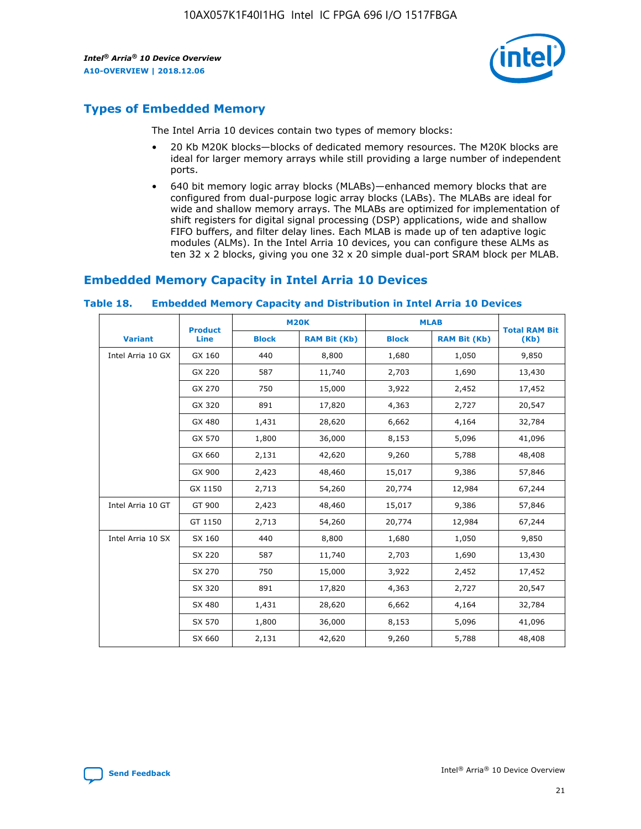

# **Types of Embedded Memory**

The Intel Arria 10 devices contain two types of memory blocks:

- 20 Kb M20K blocks—blocks of dedicated memory resources. The M20K blocks are ideal for larger memory arrays while still providing a large number of independent ports.
- 640 bit memory logic array blocks (MLABs)—enhanced memory blocks that are configured from dual-purpose logic array blocks (LABs). The MLABs are ideal for wide and shallow memory arrays. The MLABs are optimized for implementation of shift registers for digital signal processing (DSP) applications, wide and shallow FIFO buffers, and filter delay lines. Each MLAB is made up of ten adaptive logic modules (ALMs). In the Intel Arria 10 devices, you can configure these ALMs as ten 32 x 2 blocks, giving you one 32 x 20 simple dual-port SRAM block per MLAB.

# **Embedded Memory Capacity in Intel Arria 10 Devices**

|                   | <b>Product</b> | <b>M20K</b>  |                     | <b>MLAB</b>  |                     | <b>Total RAM Bit</b> |
|-------------------|----------------|--------------|---------------------|--------------|---------------------|----------------------|
| <b>Variant</b>    | <b>Line</b>    | <b>Block</b> | <b>RAM Bit (Kb)</b> | <b>Block</b> | <b>RAM Bit (Kb)</b> | (Kb)                 |
| Intel Arria 10 GX | GX 160         | 440          | 8,800               | 1,680        | 1,050               | 9,850                |
|                   | GX 220         | 587          | 11,740              | 2,703        | 1,690               | 13,430               |
|                   | GX 270         | 750          | 15,000              | 3,922        | 2,452               | 17,452               |
|                   | GX 320         | 891          | 17,820              | 4,363        | 2,727               | 20,547               |
|                   | GX 480         | 1,431        | 28,620              | 6,662        | 4,164               | 32,784               |
|                   | GX 570         | 1,800        | 36,000              | 8,153        | 5,096               | 41,096               |
|                   | GX 660         | 2,131        | 42,620              | 9,260        | 5,788               | 48,408               |
|                   | GX 900         | 2,423        | 48,460              | 15,017       | 9,386               | 57,846               |
|                   | GX 1150        | 2,713        | 54,260              | 20,774       | 12,984              | 67,244               |
| Intel Arria 10 GT | GT 900         | 2,423        | 48,460              | 15,017       | 9,386               | 57,846               |
|                   | GT 1150        | 2,713        | 54,260              | 20,774       | 12,984              | 67,244               |
| Intel Arria 10 SX | SX 160         | 440          | 8,800               | 1,680        | 1,050               | 9,850                |
|                   | SX 220         | 587          | 11,740              | 2,703        | 1,690               | 13,430               |
|                   | SX 270         | 750          | 15,000              | 3,922        | 2,452               | 17,452               |
|                   | SX 320         | 891          | 17,820              | 4,363        | 2,727               | 20,547               |
|                   | SX 480         | 1,431        | 28,620              | 6,662        | 4,164               | 32,784               |
|                   | SX 570         | 1,800        | 36,000              | 8,153        | 5,096               | 41,096               |
|                   | SX 660         | 2,131        | 42,620              | 9,260        | 5,788               | 48,408               |

#### **Table 18. Embedded Memory Capacity and Distribution in Intel Arria 10 Devices**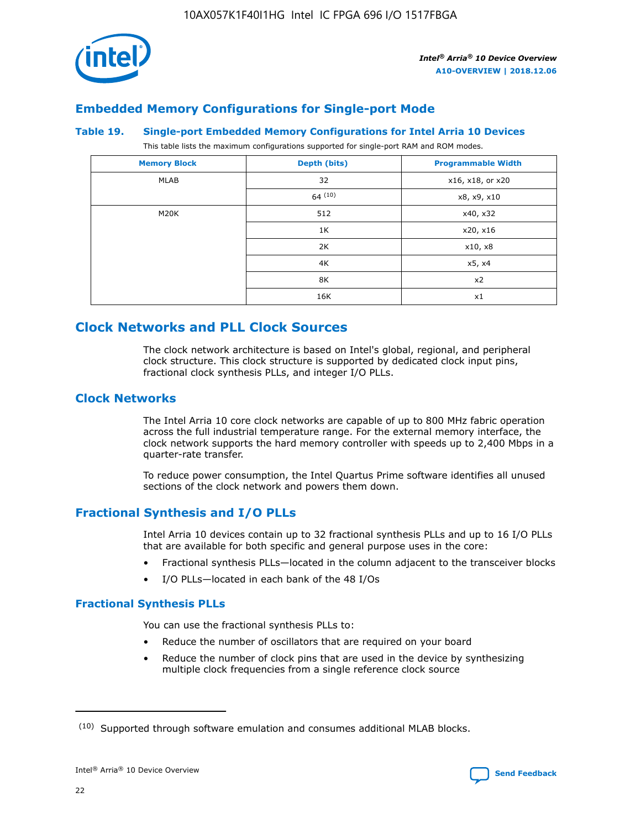

# **Embedded Memory Configurations for Single-port Mode**

#### **Table 19. Single-port Embedded Memory Configurations for Intel Arria 10 Devices**

This table lists the maximum configurations supported for single-port RAM and ROM modes.

| <b>Memory Block</b> | Depth (bits) | <b>Programmable Width</b> |
|---------------------|--------------|---------------------------|
| MLAB                | 32           | x16, x18, or x20          |
|                     | 64(10)       | x8, x9, x10               |
| M20K                | 512          | x40, x32                  |
|                     | 1K           | x20, x16                  |
|                     | 2K           | x10, x8                   |
|                     | 4K           | x5, x4                    |
|                     | 8K           | x2                        |
|                     | 16K          | x1                        |

# **Clock Networks and PLL Clock Sources**

The clock network architecture is based on Intel's global, regional, and peripheral clock structure. This clock structure is supported by dedicated clock input pins, fractional clock synthesis PLLs, and integer I/O PLLs.

# **Clock Networks**

The Intel Arria 10 core clock networks are capable of up to 800 MHz fabric operation across the full industrial temperature range. For the external memory interface, the clock network supports the hard memory controller with speeds up to 2,400 Mbps in a quarter-rate transfer.

To reduce power consumption, the Intel Quartus Prime software identifies all unused sections of the clock network and powers them down.

# **Fractional Synthesis and I/O PLLs**

Intel Arria 10 devices contain up to 32 fractional synthesis PLLs and up to 16 I/O PLLs that are available for both specific and general purpose uses in the core:

- Fractional synthesis PLLs—located in the column adjacent to the transceiver blocks
- I/O PLLs—located in each bank of the 48 I/Os

### **Fractional Synthesis PLLs**

You can use the fractional synthesis PLLs to:

- Reduce the number of oscillators that are required on your board
- Reduce the number of clock pins that are used in the device by synthesizing multiple clock frequencies from a single reference clock source

<sup>(10)</sup> Supported through software emulation and consumes additional MLAB blocks.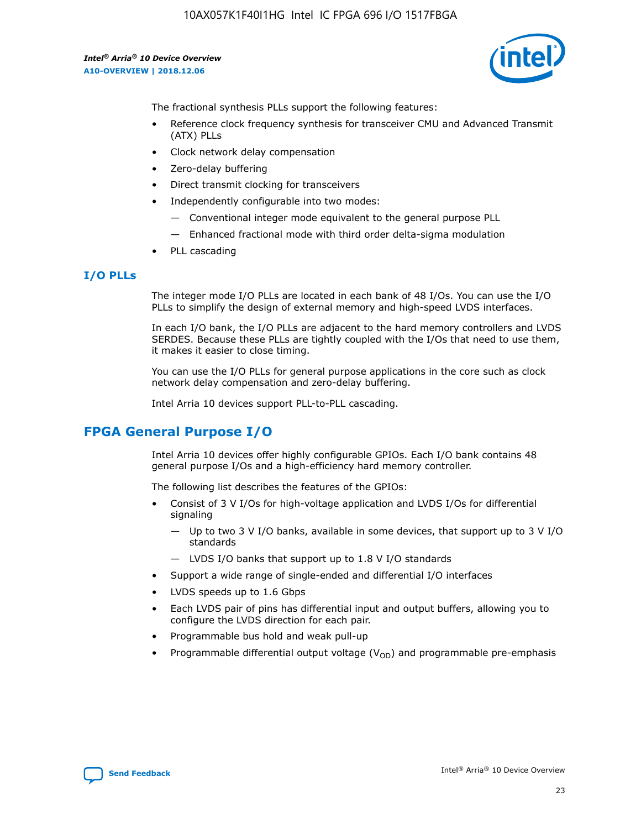

The fractional synthesis PLLs support the following features:

- Reference clock frequency synthesis for transceiver CMU and Advanced Transmit (ATX) PLLs
- Clock network delay compensation
- Zero-delay buffering
- Direct transmit clocking for transceivers
- Independently configurable into two modes:
	- Conventional integer mode equivalent to the general purpose PLL
	- Enhanced fractional mode with third order delta-sigma modulation
- PLL cascading

# **I/O PLLs**

The integer mode I/O PLLs are located in each bank of 48 I/Os. You can use the I/O PLLs to simplify the design of external memory and high-speed LVDS interfaces.

In each I/O bank, the I/O PLLs are adjacent to the hard memory controllers and LVDS SERDES. Because these PLLs are tightly coupled with the I/Os that need to use them, it makes it easier to close timing.

You can use the I/O PLLs for general purpose applications in the core such as clock network delay compensation and zero-delay buffering.

Intel Arria 10 devices support PLL-to-PLL cascading.

# **FPGA General Purpose I/O**

Intel Arria 10 devices offer highly configurable GPIOs. Each I/O bank contains 48 general purpose I/Os and a high-efficiency hard memory controller.

The following list describes the features of the GPIOs:

- Consist of 3 V I/Os for high-voltage application and LVDS I/Os for differential signaling
	- Up to two 3 V I/O banks, available in some devices, that support up to 3 V I/O standards
	- LVDS I/O banks that support up to 1.8 V I/O standards
- Support a wide range of single-ended and differential I/O interfaces
- LVDS speeds up to 1.6 Gbps
- Each LVDS pair of pins has differential input and output buffers, allowing you to configure the LVDS direction for each pair.
- Programmable bus hold and weak pull-up
- Programmable differential output voltage  $(V_{OD})$  and programmable pre-emphasis

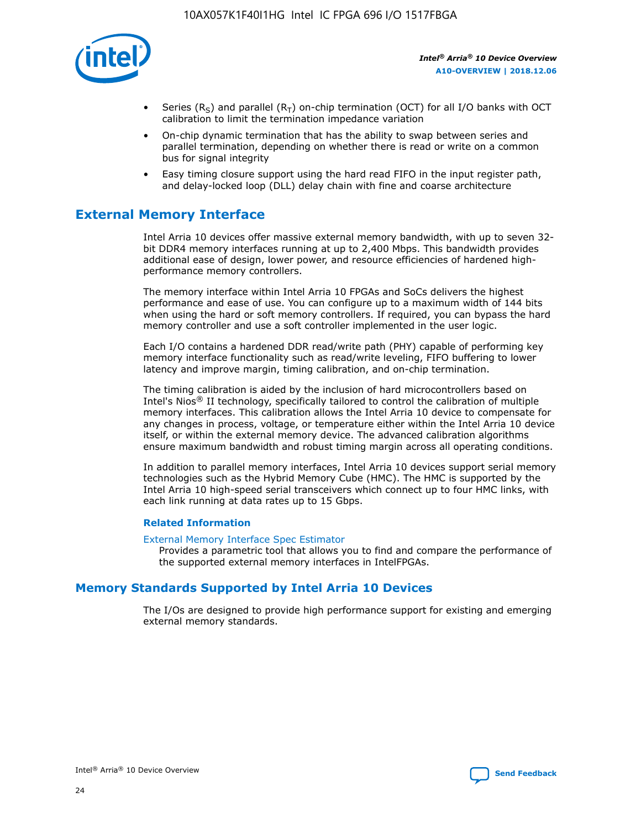

- Series (R<sub>S</sub>) and parallel (R<sub>T</sub>) on-chip termination (OCT) for all I/O banks with OCT calibration to limit the termination impedance variation
- On-chip dynamic termination that has the ability to swap between series and parallel termination, depending on whether there is read or write on a common bus for signal integrity
- Easy timing closure support using the hard read FIFO in the input register path, and delay-locked loop (DLL) delay chain with fine and coarse architecture

# **External Memory Interface**

Intel Arria 10 devices offer massive external memory bandwidth, with up to seven 32 bit DDR4 memory interfaces running at up to 2,400 Mbps. This bandwidth provides additional ease of design, lower power, and resource efficiencies of hardened highperformance memory controllers.

The memory interface within Intel Arria 10 FPGAs and SoCs delivers the highest performance and ease of use. You can configure up to a maximum width of 144 bits when using the hard or soft memory controllers. If required, you can bypass the hard memory controller and use a soft controller implemented in the user logic.

Each I/O contains a hardened DDR read/write path (PHY) capable of performing key memory interface functionality such as read/write leveling, FIFO buffering to lower latency and improve margin, timing calibration, and on-chip termination.

The timing calibration is aided by the inclusion of hard microcontrollers based on Intel's Nios® II technology, specifically tailored to control the calibration of multiple memory interfaces. This calibration allows the Intel Arria 10 device to compensate for any changes in process, voltage, or temperature either within the Intel Arria 10 device itself, or within the external memory device. The advanced calibration algorithms ensure maximum bandwidth and robust timing margin across all operating conditions.

In addition to parallel memory interfaces, Intel Arria 10 devices support serial memory technologies such as the Hybrid Memory Cube (HMC). The HMC is supported by the Intel Arria 10 high-speed serial transceivers which connect up to four HMC links, with each link running at data rates up to 15 Gbps.

### **Related Information**

#### [External Memory Interface Spec Estimator](http://www.altera.com/technology/memory/estimator/mem-emif-index.html)

Provides a parametric tool that allows you to find and compare the performance of the supported external memory interfaces in IntelFPGAs.

# **Memory Standards Supported by Intel Arria 10 Devices**

The I/Os are designed to provide high performance support for existing and emerging external memory standards.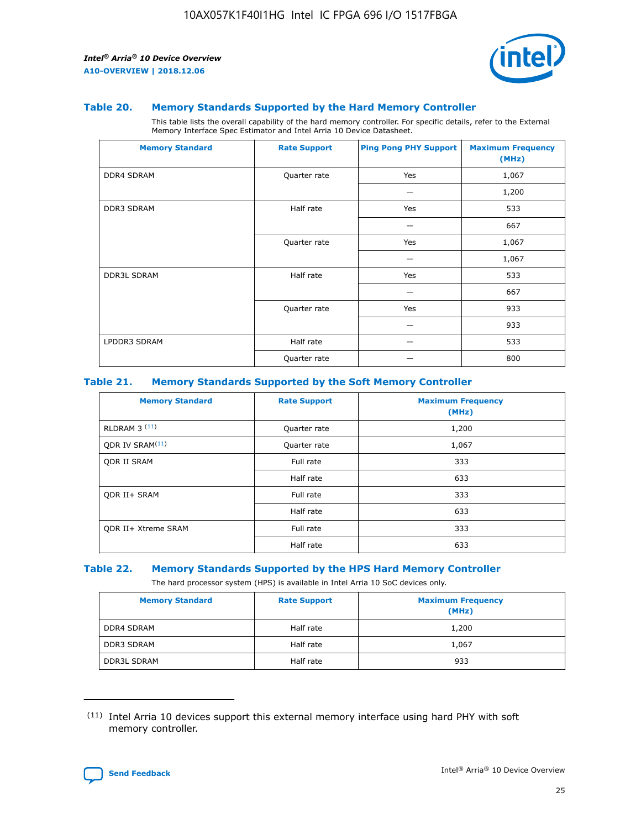

#### **Table 20. Memory Standards Supported by the Hard Memory Controller**

This table lists the overall capability of the hard memory controller. For specific details, refer to the External Memory Interface Spec Estimator and Intel Arria 10 Device Datasheet.

| <b>Memory Standard</b> | <b>Rate Support</b> | <b>Ping Pong PHY Support</b> | <b>Maximum Frequency</b><br>(MHz) |
|------------------------|---------------------|------------------------------|-----------------------------------|
| <b>DDR4 SDRAM</b>      | Quarter rate        | Yes                          | 1,067                             |
|                        |                     |                              | 1,200                             |
| DDR3 SDRAM             | Half rate           | Yes                          | 533                               |
|                        |                     |                              | 667                               |
|                        | Quarter rate        | Yes                          | 1,067                             |
|                        |                     |                              | 1,067                             |
| <b>DDR3L SDRAM</b>     | Half rate           | Yes                          | 533                               |
|                        |                     |                              | 667                               |
|                        | Quarter rate        | Yes                          | 933                               |
|                        |                     |                              | 933                               |
| LPDDR3 SDRAM           | Half rate           |                              | 533                               |
|                        | Quarter rate        |                              | 800                               |

### **Table 21. Memory Standards Supported by the Soft Memory Controller**

| <b>Memory Standard</b>      | <b>Rate Support</b> | <b>Maximum Frequency</b><br>(MHz) |
|-----------------------------|---------------------|-----------------------------------|
| <b>RLDRAM 3 (11)</b>        | Quarter rate        | 1,200                             |
| QDR IV SRAM <sup>(11)</sup> | Quarter rate        | 1,067                             |
| <b>ODR II SRAM</b>          | Full rate           | 333                               |
|                             | Half rate           | 633                               |
| <b>ODR II+ SRAM</b>         | Full rate           | 333                               |
|                             | Half rate           | 633                               |
| <b>QDR II+ Xtreme SRAM</b>  | Full rate           | 333                               |
|                             | Half rate           | 633                               |

#### **Table 22. Memory Standards Supported by the HPS Hard Memory Controller**

The hard processor system (HPS) is available in Intel Arria 10 SoC devices only.

| <b>Memory Standard</b> | <b>Rate Support</b> | <b>Maximum Frequency</b><br>(MHz) |
|------------------------|---------------------|-----------------------------------|
| <b>DDR4 SDRAM</b>      | Half rate           | 1,200                             |
| <b>DDR3 SDRAM</b>      | Half rate           | 1,067                             |
| <b>DDR3L SDRAM</b>     | Half rate           | 933                               |

<sup>(11)</sup> Intel Arria 10 devices support this external memory interface using hard PHY with soft memory controller.

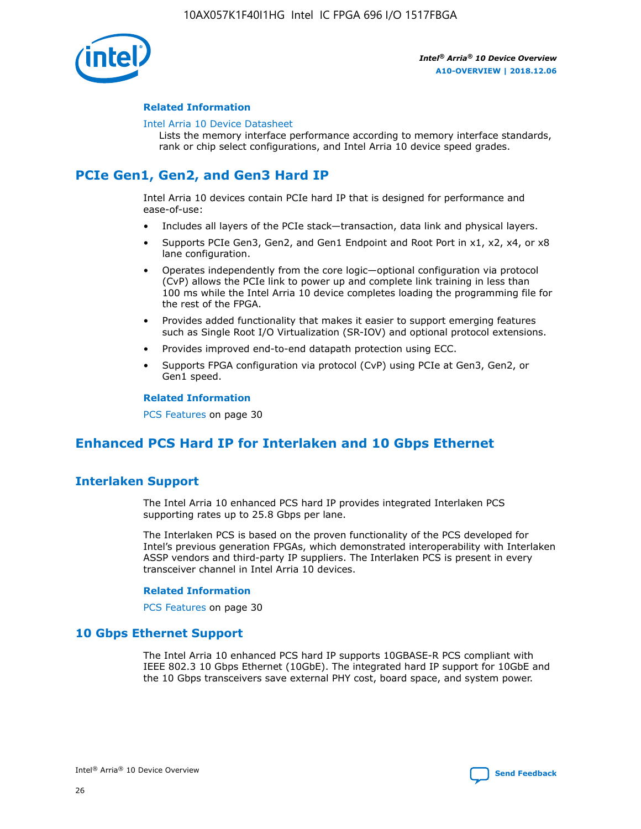

## **Related Information**

#### [Intel Arria 10 Device Datasheet](https://www.intel.com/content/www/us/en/programmable/documentation/mcn1413182292568.html#mcn1413182153340)

Lists the memory interface performance according to memory interface standards, rank or chip select configurations, and Intel Arria 10 device speed grades.

# **PCIe Gen1, Gen2, and Gen3 Hard IP**

Intel Arria 10 devices contain PCIe hard IP that is designed for performance and ease-of-use:

- Includes all layers of the PCIe stack—transaction, data link and physical layers.
- Supports PCIe Gen3, Gen2, and Gen1 Endpoint and Root Port in x1, x2, x4, or x8 lane configuration.
- Operates independently from the core logic—optional configuration via protocol (CvP) allows the PCIe link to power up and complete link training in less than 100 ms while the Intel Arria 10 device completes loading the programming file for the rest of the FPGA.
- Provides added functionality that makes it easier to support emerging features such as Single Root I/O Virtualization (SR-IOV) and optional protocol extensions.
- Provides improved end-to-end datapath protection using ECC.
- Supports FPGA configuration via protocol (CvP) using PCIe at Gen3, Gen2, or Gen1 speed.

#### **Related Information**

PCS Features on page 30

# **Enhanced PCS Hard IP for Interlaken and 10 Gbps Ethernet**

# **Interlaken Support**

The Intel Arria 10 enhanced PCS hard IP provides integrated Interlaken PCS supporting rates up to 25.8 Gbps per lane.

The Interlaken PCS is based on the proven functionality of the PCS developed for Intel's previous generation FPGAs, which demonstrated interoperability with Interlaken ASSP vendors and third-party IP suppliers. The Interlaken PCS is present in every transceiver channel in Intel Arria 10 devices.

### **Related Information**

PCS Features on page 30

# **10 Gbps Ethernet Support**

The Intel Arria 10 enhanced PCS hard IP supports 10GBASE-R PCS compliant with IEEE 802.3 10 Gbps Ethernet (10GbE). The integrated hard IP support for 10GbE and the 10 Gbps transceivers save external PHY cost, board space, and system power.

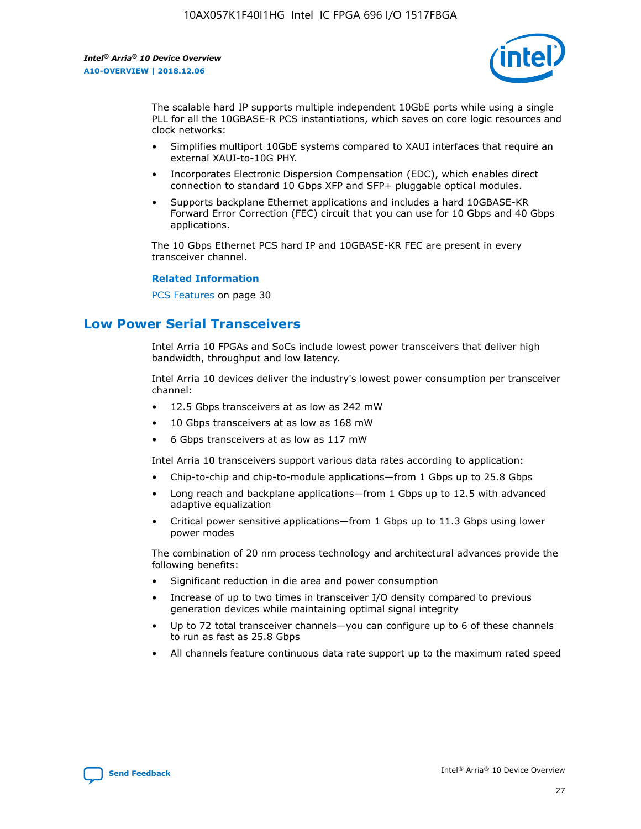

The scalable hard IP supports multiple independent 10GbE ports while using a single PLL for all the 10GBASE-R PCS instantiations, which saves on core logic resources and clock networks:

- Simplifies multiport 10GbE systems compared to XAUI interfaces that require an external XAUI-to-10G PHY.
- Incorporates Electronic Dispersion Compensation (EDC), which enables direct connection to standard 10 Gbps XFP and SFP+ pluggable optical modules.
- Supports backplane Ethernet applications and includes a hard 10GBASE-KR Forward Error Correction (FEC) circuit that you can use for 10 Gbps and 40 Gbps applications.

The 10 Gbps Ethernet PCS hard IP and 10GBASE-KR FEC are present in every transceiver channel.

### **Related Information**

PCS Features on page 30

# **Low Power Serial Transceivers**

Intel Arria 10 FPGAs and SoCs include lowest power transceivers that deliver high bandwidth, throughput and low latency.

Intel Arria 10 devices deliver the industry's lowest power consumption per transceiver channel:

- 12.5 Gbps transceivers at as low as 242 mW
- 10 Gbps transceivers at as low as 168 mW
- 6 Gbps transceivers at as low as 117 mW

Intel Arria 10 transceivers support various data rates according to application:

- Chip-to-chip and chip-to-module applications—from 1 Gbps up to 25.8 Gbps
- Long reach and backplane applications—from 1 Gbps up to 12.5 with advanced adaptive equalization
- Critical power sensitive applications—from 1 Gbps up to 11.3 Gbps using lower power modes

The combination of 20 nm process technology and architectural advances provide the following benefits:

- Significant reduction in die area and power consumption
- Increase of up to two times in transceiver I/O density compared to previous generation devices while maintaining optimal signal integrity
- Up to 72 total transceiver channels—you can configure up to 6 of these channels to run as fast as 25.8 Gbps
- All channels feature continuous data rate support up to the maximum rated speed

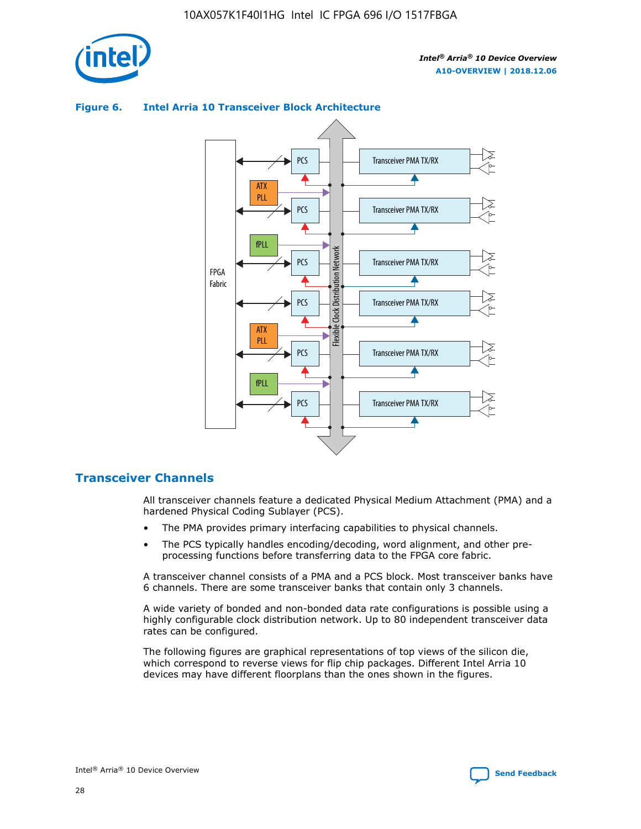

## **Figure 6. Intel Arria 10 Transceiver Block Architecture**



# **Transceiver Channels**

All transceiver channels feature a dedicated Physical Medium Attachment (PMA) and a hardened Physical Coding Sublayer (PCS).

- The PMA provides primary interfacing capabilities to physical channels.
- The PCS typically handles encoding/decoding, word alignment, and other preprocessing functions before transferring data to the FPGA core fabric.

A transceiver channel consists of a PMA and a PCS block. Most transceiver banks have 6 channels. There are some transceiver banks that contain only 3 channels.

A wide variety of bonded and non-bonded data rate configurations is possible using a highly configurable clock distribution network. Up to 80 independent transceiver data rates can be configured.

The following figures are graphical representations of top views of the silicon die, which correspond to reverse views for flip chip packages. Different Intel Arria 10 devices may have different floorplans than the ones shown in the figures.

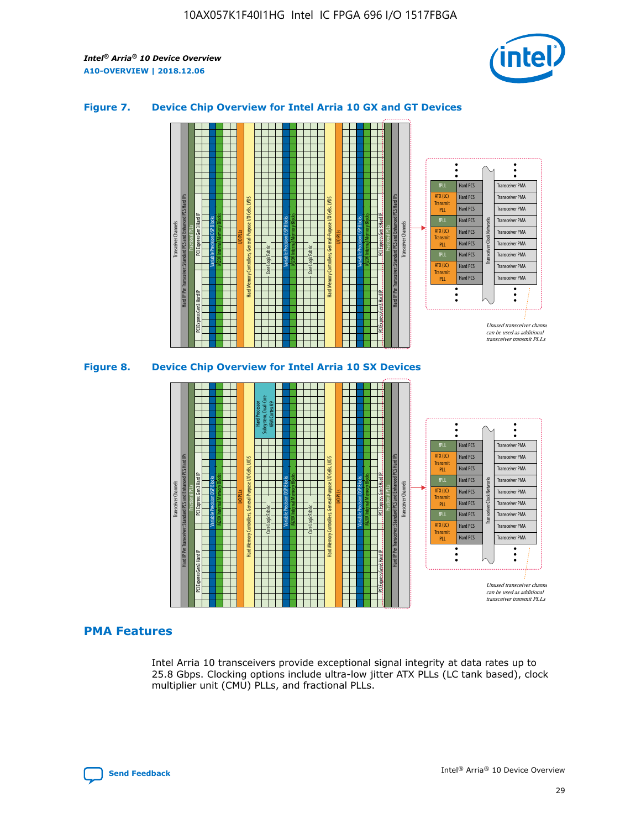

## **Figure 7. Device Chip Overview for Intel Arria 10 GX and GT Devices**





# **PMA Features**

Intel Arria 10 transceivers provide exceptional signal integrity at data rates up to 25.8 Gbps. Clocking options include ultra-low jitter ATX PLLs (LC tank based), clock multiplier unit (CMU) PLLs, and fractional PLLs.

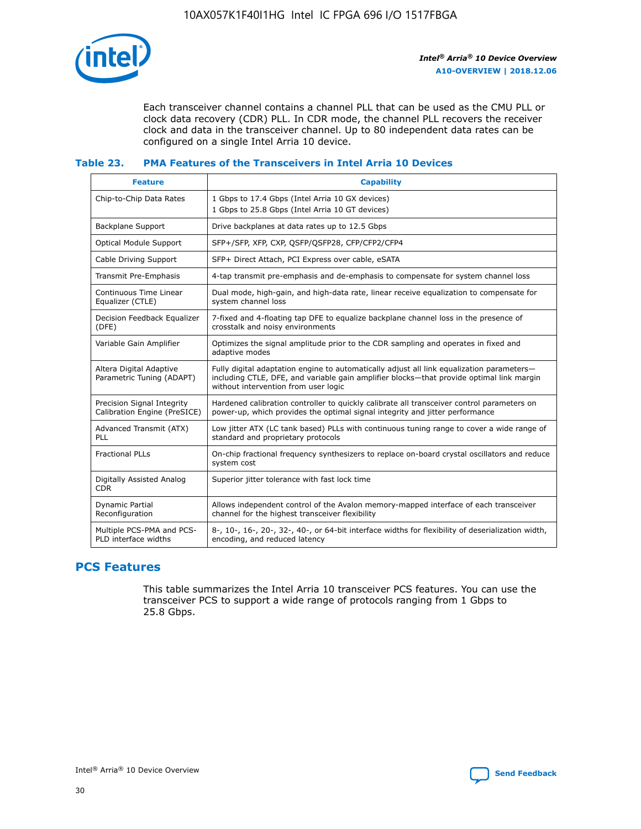

Each transceiver channel contains a channel PLL that can be used as the CMU PLL or clock data recovery (CDR) PLL. In CDR mode, the channel PLL recovers the receiver clock and data in the transceiver channel. Up to 80 independent data rates can be configured on a single Intel Arria 10 device.

## **Table 23. PMA Features of the Transceivers in Intel Arria 10 Devices**

| <b>Feature</b>                                             | <b>Capability</b>                                                                                                                                                                                                             |
|------------------------------------------------------------|-------------------------------------------------------------------------------------------------------------------------------------------------------------------------------------------------------------------------------|
| Chip-to-Chip Data Rates                                    | 1 Gbps to 17.4 Gbps (Intel Arria 10 GX devices)<br>1 Gbps to 25.8 Gbps (Intel Arria 10 GT devices)                                                                                                                            |
| <b>Backplane Support</b>                                   | Drive backplanes at data rates up to 12.5 Gbps                                                                                                                                                                                |
| <b>Optical Module Support</b>                              | SFP+/SFP, XFP, CXP, QSFP/QSFP28, CFP/CFP2/CFP4                                                                                                                                                                                |
| Cable Driving Support                                      | SFP+ Direct Attach, PCI Express over cable, eSATA                                                                                                                                                                             |
| Transmit Pre-Emphasis                                      | 4-tap transmit pre-emphasis and de-emphasis to compensate for system channel loss                                                                                                                                             |
| Continuous Time Linear<br>Equalizer (CTLE)                 | Dual mode, high-gain, and high-data rate, linear receive equalization to compensate for<br>system channel loss                                                                                                                |
| Decision Feedback Equalizer<br>(DFE)                       | 7-fixed and 4-floating tap DFE to equalize backplane channel loss in the presence of<br>crosstalk and noisy environments                                                                                                      |
| Variable Gain Amplifier                                    | Optimizes the signal amplitude prior to the CDR sampling and operates in fixed and<br>adaptive modes                                                                                                                          |
| Altera Digital Adaptive<br>Parametric Tuning (ADAPT)       | Fully digital adaptation engine to automatically adjust all link equalization parameters-<br>including CTLE, DFE, and variable gain amplifier blocks—that provide optimal link margin<br>without intervention from user logic |
| Precision Signal Integrity<br>Calibration Engine (PreSICE) | Hardened calibration controller to quickly calibrate all transceiver control parameters on<br>power-up, which provides the optimal signal integrity and jitter performance                                                    |
| Advanced Transmit (ATX)<br>PLL                             | Low jitter ATX (LC tank based) PLLs with continuous tuning range to cover a wide range of<br>standard and proprietary protocols                                                                                               |
| <b>Fractional PLLs</b>                                     | On-chip fractional frequency synthesizers to replace on-board crystal oscillators and reduce<br>system cost                                                                                                                   |
| Digitally Assisted Analog<br><b>CDR</b>                    | Superior jitter tolerance with fast lock time                                                                                                                                                                                 |
| Dynamic Partial<br>Reconfiguration                         | Allows independent control of the Avalon memory-mapped interface of each transceiver<br>channel for the highest transceiver flexibility                                                                                       |
| Multiple PCS-PMA and PCS-<br>PLD interface widths          | 8-, 10-, 16-, 20-, 32-, 40-, or 64-bit interface widths for flexibility of deserialization width,<br>encoding, and reduced latency                                                                                            |

# **PCS Features**

This table summarizes the Intel Arria 10 transceiver PCS features. You can use the transceiver PCS to support a wide range of protocols ranging from 1 Gbps to 25.8 Gbps.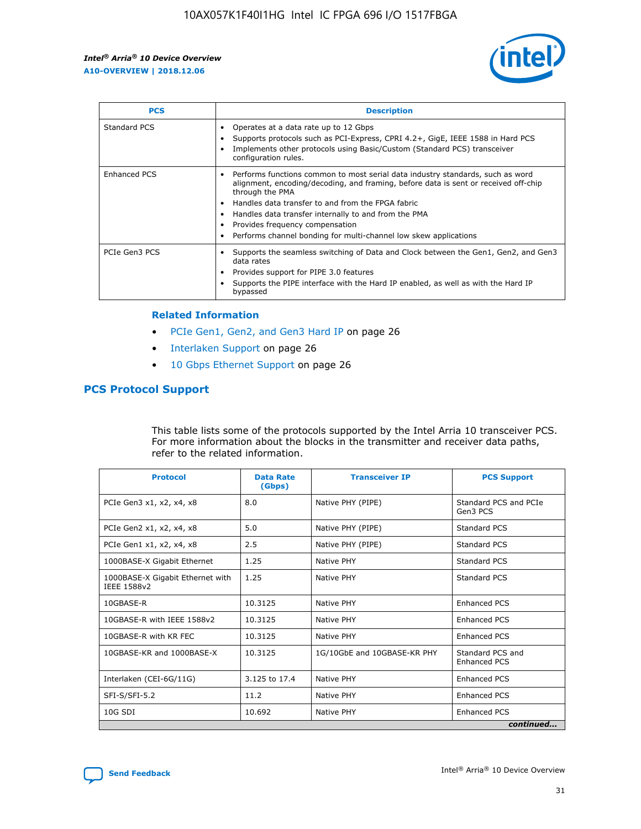

| <b>PCS</b>          | <b>Description</b>                                                                                                                                                                                                                                                                                                                                                                                             |
|---------------------|----------------------------------------------------------------------------------------------------------------------------------------------------------------------------------------------------------------------------------------------------------------------------------------------------------------------------------------------------------------------------------------------------------------|
| Standard PCS        | Operates at a data rate up to 12 Gbps<br>Supports protocols such as PCI-Express, CPRI 4.2+, GigE, IEEE 1588 in Hard PCS<br>Implements other protocols using Basic/Custom (Standard PCS) transceiver<br>configuration rules.                                                                                                                                                                                    |
| <b>Enhanced PCS</b> | Performs functions common to most serial data industry standards, such as word<br>alignment, encoding/decoding, and framing, before data is sent or received off-chip<br>through the PMA<br>• Handles data transfer to and from the FPGA fabric<br>Handles data transfer internally to and from the PMA<br>Provides frequency compensation<br>Performs channel bonding for multi-channel low skew applications |
| PCIe Gen3 PCS       | Supports the seamless switching of Data and Clock between the Gen1, Gen2, and Gen3<br>data rates<br>Provides support for PIPE 3.0 features<br>Supports the PIPE interface with the Hard IP enabled, as well as with the Hard IP<br>bypassed                                                                                                                                                                    |

#### **Related Information**

- PCIe Gen1, Gen2, and Gen3 Hard IP on page 26
- Interlaken Support on page 26
- 10 Gbps Ethernet Support on page 26

# **PCS Protocol Support**

This table lists some of the protocols supported by the Intel Arria 10 transceiver PCS. For more information about the blocks in the transmitter and receiver data paths, refer to the related information.

| <b>Protocol</b>                                 | <b>Data Rate</b><br>(Gbps) | <b>Transceiver IP</b>       | <b>PCS Support</b>                      |
|-------------------------------------------------|----------------------------|-----------------------------|-----------------------------------------|
| PCIe Gen3 x1, x2, x4, x8                        | 8.0                        | Native PHY (PIPE)           | Standard PCS and PCIe<br>Gen3 PCS       |
| PCIe Gen2 x1, x2, x4, x8                        | 5.0                        | Native PHY (PIPE)           | <b>Standard PCS</b>                     |
| PCIe Gen1 x1, x2, x4, x8                        | 2.5                        | Native PHY (PIPE)           | Standard PCS                            |
| 1000BASE-X Gigabit Ethernet                     | 1.25                       | Native PHY                  | <b>Standard PCS</b>                     |
| 1000BASE-X Gigabit Ethernet with<br>IEEE 1588v2 | 1.25                       | Native PHY                  | Standard PCS                            |
| 10GBASE-R                                       | 10.3125                    | Native PHY                  | <b>Enhanced PCS</b>                     |
| 10GBASE-R with IEEE 1588v2                      | 10.3125                    | Native PHY                  | <b>Enhanced PCS</b>                     |
| 10GBASE-R with KR FEC                           | 10.3125                    | Native PHY                  | <b>Enhanced PCS</b>                     |
| 10GBASE-KR and 1000BASE-X                       | 10.3125                    | 1G/10GbE and 10GBASE-KR PHY | Standard PCS and<br><b>Enhanced PCS</b> |
| Interlaken (CEI-6G/11G)                         | 3.125 to 17.4              | Native PHY                  | <b>Enhanced PCS</b>                     |
| SFI-S/SFI-5.2                                   | 11.2                       | Native PHY                  | <b>Enhanced PCS</b>                     |
| $10G$ SDI                                       | 10.692                     | Native PHY                  | <b>Enhanced PCS</b>                     |
|                                                 |                            |                             | continued                               |



**[Send Feedback](mailto:FPGAtechdocfeedback@intel.com?subject=Feedback%20on%20Intel%20Arria%2010%20Device%20Overview%20(A10-OVERVIEW%202018.12.06)&body=We%20appreciate%20your%20feedback.%20In%20your%20comments,%20also%20specify%20the%20page%20number%20or%20paragraph.%20Thank%20you.) Intel®** Arria<sup>®</sup> 10 Device Overview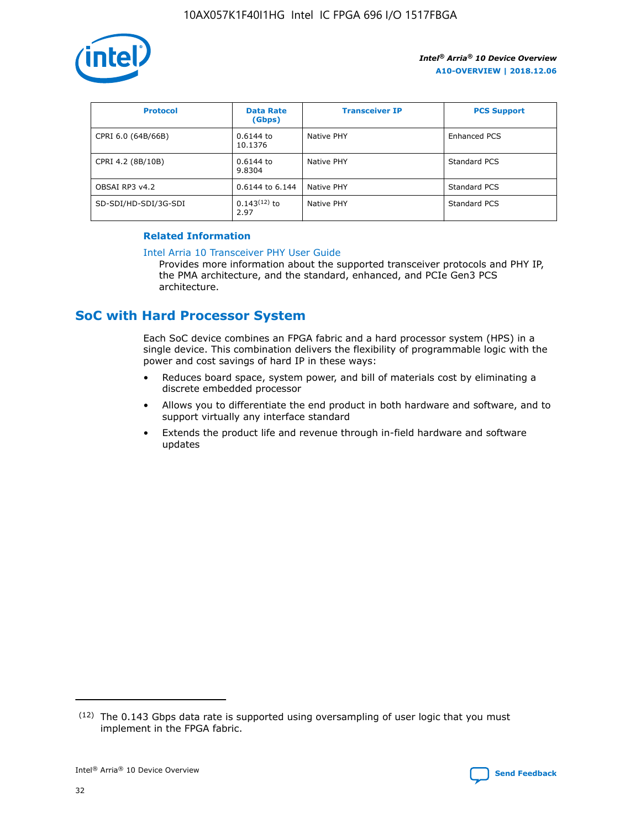

| <b>Protocol</b>      | <b>Data Rate</b><br>(Gbps) | <b>Transceiver IP</b> | <b>PCS Support</b> |
|----------------------|----------------------------|-----------------------|--------------------|
| CPRI 6.0 (64B/66B)   | $0.6144$ to<br>10.1376     | Native PHY            | Enhanced PCS       |
| CPRI 4.2 (8B/10B)    | 0.6144 to<br>9.8304        | Native PHY            | Standard PCS       |
| OBSAI RP3 v4.2       | 0.6144 to 6.144            | Native PHY            | Standard PCS       |
| SD-SDI/HD-SDI/3G-SDI | $0.143(12)$ to<br>2.97     | Native PHY            | Standard PCS       |

## **Related Information**

#### [Intel Arria 10 Transceiver PHY User Guide](https://www.intel.com/content/www/us/en/programmable/documentation/nik1398707230472.html#nik1398707091164)

Provides more information about the supported transceiver protocols and PHY IP, the PMA architecture, and the standard, enhanced, and PCIe Gen3 PCS architecture.

# **SoC with Hard Processor System**

Each SoC device combines an FPGA fabric and a hard processor system (HPS) in a single device. This combination delivers the flexibility of programmable logic with the power and cost savings of hard IP in these ways:

- Reduces board space, system power, and bill of materials cost by eliminating a discrete embedded processor
- Allows you to differentiate the end product in both hardware and software, and to support virtually any interface standard
- Extends the product life and revenue through in-field hardware and software updates

<sup>(12)</sup> The 0.143 Gbps data rate is supported using oversampling of user logic that you must implement in the FPGA fabric.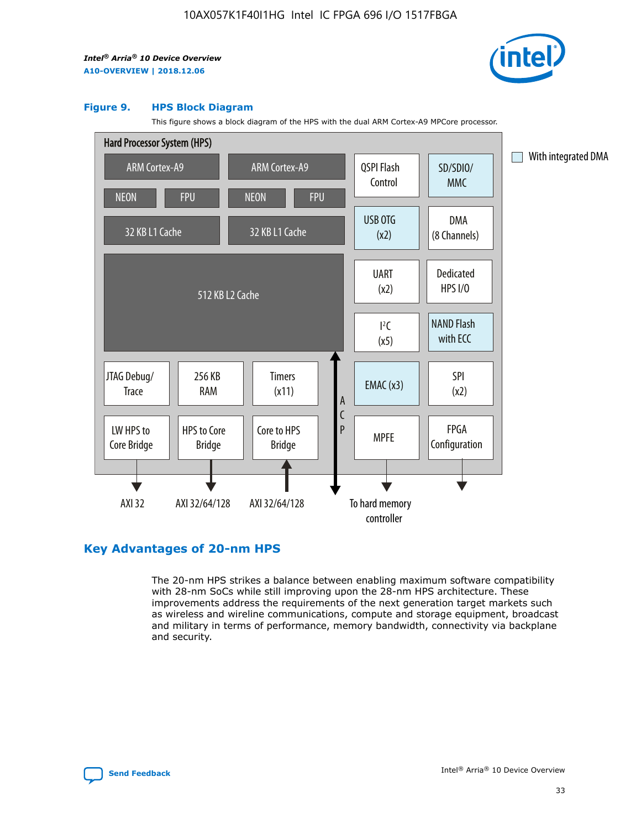

#### **Figure 9. HPS Block Diagram**

This figure shows a block diagram of the HPS with the dual ARM Cortex-A9 MPCore processor.



# **Key Advantages of 20-nm HPS**

The 20-nm HPS strikes a balance between enabling maximum software compatibility with 28-nm SoCs while still improving upon the 28-nm HPS architecture. These improvements address the requirements of the next generation target markets such as wireless and wireline communications, compute and storage equipment, broadcast and military in terms of performance, memory bandwidth, connectivity via backplane and security.

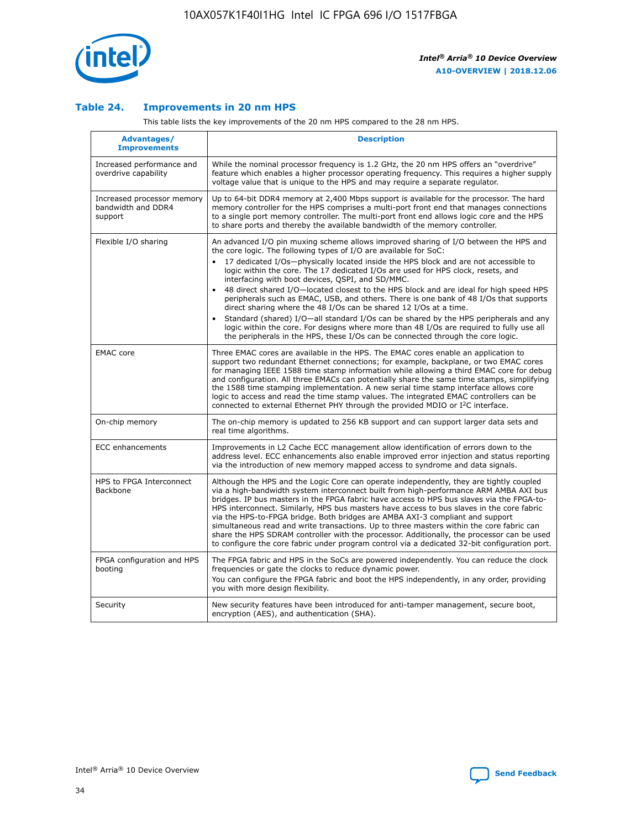

## **Table 24. Improvements in 20 nm HPS**

This table lists the key improvements of the 20 nm HPS compared to the 28 nm HPS.

| Advantages/<br><b>Improvements</b>                          | <b>Description</b>                                                                                                                                                                                                                                                                                                                                                                                                                                                                                                                                                                                                                                                                                                                                                                                                                                                                                                                                |
|-------------------------------------------------------------|---------------------------------------------------------------------------------------------------------------------------------------------------------------------------------------------------------------------------------------------------------------------------------------------------------------------------------------------------------------------------------------------------------------------------------------------------------------------------------------------------------------------------------------------------------------------------------------------------------------------------------------------------------------------------------------------------------------------------------------------------------------------------------------------------------------------------------------------------------------------------------------------------------------------------------------------------|
| Increased performance and<br>overdrive capability           | While the nominal processor frequency is 1.2 GHz, the 20 nm HPS offers an "overdrive"<br>feature which enables a higher processor operating frequency. This requires a higher supply<br>voltage value that is unique to the HPS and may require a separate regulator.                                                                                                                                                                                                                                                                                                                                                                                                                                                                                                                                                                                                                                                                             |
| Increased processor memory<br>bandwidth and DDR4<br>support | Up to 64-bit DDR4 memory at 2,400 Mbps support is available for the processor. The hard<br>memory controller for the HPS comprises a multi-port front end that manages connections<br>to a single port memory controller. The multi-port front end allows logic core and the HPS<br>to share ports and thereby the available bandwidth of the memory controller.                                                                                                                                                                                                                                                                                                                                                                                                                                                                                                                                                                                  |
| Flexible I/O sharing                                        | An advanced I/O pin muxing scheme allows improved sharing of I/O between the HPS and<br>the core logic. The following types of I/O are available for SoC:<br>$\bullet$<br>17 dedicated I/Os-physically located inside the HPS block and are not accessible to<br>logic within the core. The 17 dedicated I/Os are used for HPS clock, resets, and<br>interfacing with boot devices, QSPI, and SD/MMC.<br>48 direct shared I/O-located closest to the HPS block and are ideal for high speed HPS<br>$\bullet$<br>peripherals such as EMAC, USB, and others. There is one bank of 48 I/Os that supports<br>direct sharing where the 48 I/Os can be shared 12 I/Os at a time.<br>Standard (shared) I/O-all standard I/Os can be shared by the HPS peripherals and any<br>logic within the core. For designs where more than 48 I/Os are required to fully use all<br>the peripherals in the HPS, these I/Os can be connected through the core logic. |
| <b>EMAC</b> core                                            | Three EMAC cores are available in the HPS. The EMAC cores enable an application to<br>support two redundant Ethernet connections; for example, backplane, or two EMAC cores<br>for managing IEEE 1588 time stamp information while allowing a third EMAC core for debug<br>and configuration. All three EMACs can potentially share the same time stamps, simplifying<br>the 1588 time stamping implementation. A new serial time stamp interface allows core<br>logic to access and read the time stamp values. The integrated EMAC controllers can be<br>connected to external Ethernet PHY through the provided MDIO or I <sup>2</sup> C interface.                                                                                                                                                                                                                                                                                            |
| On-chip memory                                              | The on-chip memory is updated to 256 KB support and can support larger data sets and<br>real time algorithms.                                                                                                                                                                                                                                                                                                                                                                                                                                                                                                                                                                                                                                                                                                                                                                                                                                     |
| <b>ECC</b> enhancements                                     | Improvements in L2 Cache ECC management allow identification of errors down to the<br>address level. ECC enhancements also enable improved error injection and status reporting<br>via the introduction of new memory mapped access to syndrome and data signals.                                                                                                                                                                                                                                                                                                                                                                                                                                                                                                                                                                                                                                                                                 |
| HPS to FPGA Interconnect<br>Backbone                        | Although the HPS and the Logic Core can operate independently, they are tightly coupled<br>via a high-bandwidth system interconnect built from high-performance ARM AMBA AXI bus<br>bridges. IP bus masters in the FPGA fabric have access to HPS bus slaves via the FPGA-to-<br>HPS interconnect. Similarly, HPS bus masters have access to bus slaves in the core fabric<br>via the HPS-to-FPGA bridge. Both bridges are AMBA AXI-3 compliant and support<br>simultaneous read and write transactions. Up to three masters within the core fabric can<br>share the HPS SDRAM controller with the processor. Additionally, the processor can be used<br>to configure the core fabric under program control via a dedicated 32-bit configuration port.                                                                                                                                                                                            |
| FPGA configuration and HPS<br>booting                       | The FPGA fabric and HPS in the SoCs are powered independently. You can reduce the clock<br>frequencies or gate the clocks to reduce dynamic power.<br>You can configure the FPGA fabric and boot the HPS independently, in any order, providing<br>you with more design flexibility.                                                                                                                                                                                                                                                                                                                                                                                                                                                                                                                                                                                                                                                              |
| Security                                                    | New security features have been introduced for anti-tamper management, secure boot,<br>encryption (AES), and authentication (SHA).                                                                                                                                                                                                                                                                                                                                                                                                                                                                                                                                                                                                                                                                                                                                                                                                                |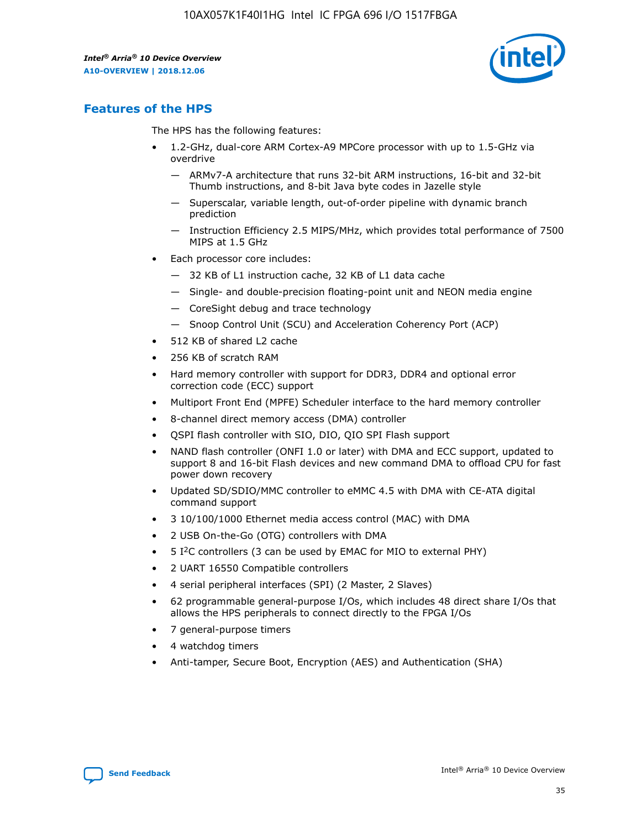

# **Features of the HPS**

The HPS has the following features:

- 1.2-GHz, dual-core ARM Cortex-A9 MPCore processor with up to 1.5-GHz via overdrive
	- ARMv7-A architecture that runs 32-bit ARM instructions, 16-bit and 32-bit Thumb instructions, and 8-bit Java byte codes in Jazelle style
	- Superscalar, variable length, out-of-order pipeline with dynamic branch prediction
	- Instruction Efficiency 2.5 MIPS/MHz, which provides total performance of 7500 MIPS at 1.5 GHz
- Each processor core includes:
	- 32 KB of L1 instruction cache, 32 KB of L1 data cache
	- Single- and double-precision floating-point unit and NEON media engine
	- CoreSight debug and trace technology
	- Snoop Control Unit (SCU) and Acceleration Coherency Port (ACP)
- 512 KB of shared L2 cache
- 256 KB of scratch RAM
- Hard memory controller with support for DDR3, DDR4 and optional error correction code (ECC) support
- Multiport Front End (MPFE) Scheduler interface to the hard memory controller
- 8-channel direct memory access (DMA) controller
- QSPI flash controller with SIO, DIO, QIO SPI Flash support
- NAND flash controller (ONFI 1.0 or later) with DMA and ECC support, updated to support 8 and 16-bit Flash devices and new command DMA to offload CPU for fast power down recovery
- Updated SD/SDIO/MMC controller to eMMC 4.5 with DMA with CE-ATA digital command support
- 3 10/100/1000 Ethernet media access control (MAC) with DMA
- 2 USB On-the-Go (OTG) controllers with DMA
- $\bullet$  5 I<sup>2</sup>C controllers (3 can be used by EMAC for MIO to external PHY)
- 2 UART 16550 Compatible controllers
- 4 serial peripheral interfaces (SPI) (2 Master, 2 Slaves)
- 62 programmable general-purpose I/Os, which includes 48 direct share I/Os that allows the HPS peripherals to connect directly to the FPGA I/Os
- 7 general-purpose timers
- 4 watchdog timers
- Anti-tamper, Secure Boot, Encryption (AES) and Authentication (SHA)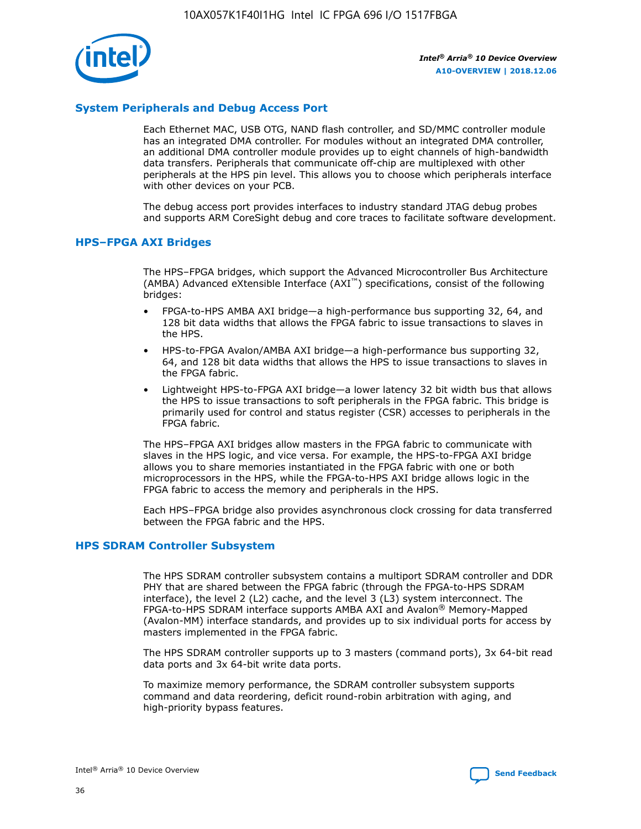

# **System Peripherals and Debug Access Port**

Each Ethernet MAC, USB OTG, NAND flash controller, and SD/MMC controller module has an integrated DMA controller. For modules without an integrated DMA controller, an additional DMA controller module provides up to eight channels of high-bandwidth data transfers. Peripherals that communicate off-chip are multiplexed with other peripherals at the HPS pin level. This allows you to choose which peripherals interface with other devices on your PCB.

The debug access port provides interfaces to industry standard JTAG debug probes and supports ARM CoreSight debug and core traces to facilitate software development.

#### **HPS–FPGA AXI Bridges**

The HPS–FPGA bridges, which support the Advanced Microcontroller Bus Architecture (AMBA) Advanced eXtensible Interface (AXI™) specifications, consist of the following bridges:

- FPGA-to-HPS AMBA AXI bridge—a high-performance bus supporting 32, 64, and 128 bit data widths that allows the FPGA fabric to issue transactions to slaves in the HPS.
- HPS-to-FPGA Avalon/AMBA AXI bridge—a high-performance bus supporting 32, 64, and 128 bit data widths that allows the HPS to issue transactions to slaves in the FPGA fabric.
- Lightweight HPS-to-FPGA AXI bridge—a lower latency 32 bit width bus that allows the HPS to issue transactions to soft peripherals in the FPGA fabric. This bridge is primarily used for control and status register (CSR) accesses to peripherals in the FPGA fabric.

The HPS–FPGA AXI bridges allow masters in the FPGA fabric to communicate with slaves in the HPS logic, and vice versa. For example, the HPS-to-FPGA AXI bridge allows you to share memories instantiated in the FPGA fabric with one or both microprocessors in the HPS, while the FPGA-to-HPS AXI bridge allows logic in the FPGA fabric to access the memory and peripherals in the HPS.

Each HPS–FPGA bridge also provides asynchronous clock crossing for data transferred between the FPGA fabric and the HPS.

#### **HPS SDRAM Controller Subsystem**

The HPS SDRAM controller subsystem contains a multiport SDRAM controller and DDR PHY that are shared between the FPGA fabric (through the FPGA-to-HPS SDRAM interface), the level 2 (L2) cache, and the level 3 (L3) system interconnect. The FPGA-to-HPS SDRAM interface supports AMBA AXI and Avalon® Memory-Mapped (Avalon-MM) interface standards, and provides up to six individual ports for access by masters implemented in the FPGA fabric.

The HPS SDRAM controller supports up to 3 masters (command ports), 3x 64-bit read data ports and 3x 64-bit write data ports.

To maximize memory performance, the SDRAM controller subsystem supports command and data reordering, deficit round-robin arbitration with aging, and high-priority bypass features.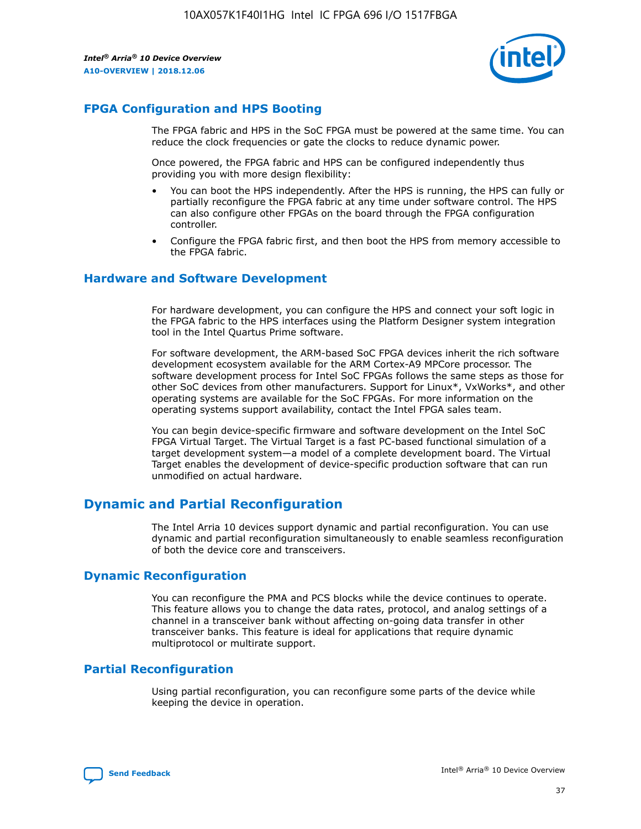

# **FPGA Configuration and HPS Booting**

The FPGA fabric and HPS in the SoC FPGA must be powered at the same time. You can reduce the clock frequencies or gate the clocks to reduce dynamic power.

Once powered, the FPGA fabric and HPS can be configured independently thus providing you with more design flexibility:

- You can boot the HPS independently. After the HPS is running, the HPS can fully or partially reconfigure the FPGA fabric at any time under software control. The HPS can also configure other FPGAs on the board through the FPGA configuration controller.
- Configure the FPGA fabric first, and then boot the HPS from memory accessible to the FPGA fabric.

## **Hardware and Software Development**

For hardware development, you can configure the HPS and connect your soft logic in the FPGA fabric to the HPS interfaces using the Platform Designer system integration tool in the Intel Quartus Prime software.

For software development, the ARM-based SoC FPGA devices inherit the rich software development ecosystem available for the ARM Cortex-A9 MPCore processor. The software development process for Intel SoC FPGAs follows the same steps as those for other SoC devices from other manufacturers. Support for Linux\*, VxWorks\*, and other operating systems are available for the SoC FPGAs. For more information on the operating systems support availability, contact the Intel FPGA sales team.

You can begin device-specific firmware and software development on the Intel SoC FPGA Virtual Target. The Virtual Target is a fast PC-based functional simulation of a target development system—a model of a complete development board. The Virtual Target enables the development of device-specific production software that can run unmodified on actual hardware.

# **Dynamic and Partial Reconfiguration**

The Intel Arria 10 devices support dynamic and partial reconfiguration. You can use dynamic and partial reconfiguration simultaneously to enable seamless reconfiguration of both the device core and transceivers.

# **Dynamic Reconfiguration**

You can reconfigure the PMA and PCS blocks while the device continues to operate. This feature allows you to change the data rates, protocol, and analog settings of a channel in a transceiver bank without affecting on-going data transfer in other transceiver banks. This feature is ideal for applications that require dynamic multiprotocol or multirate support.

# **Partial Reconfiguration**

Using partial reconfiguration, you can reconfigure some parts of the device while keeping the device in operation.

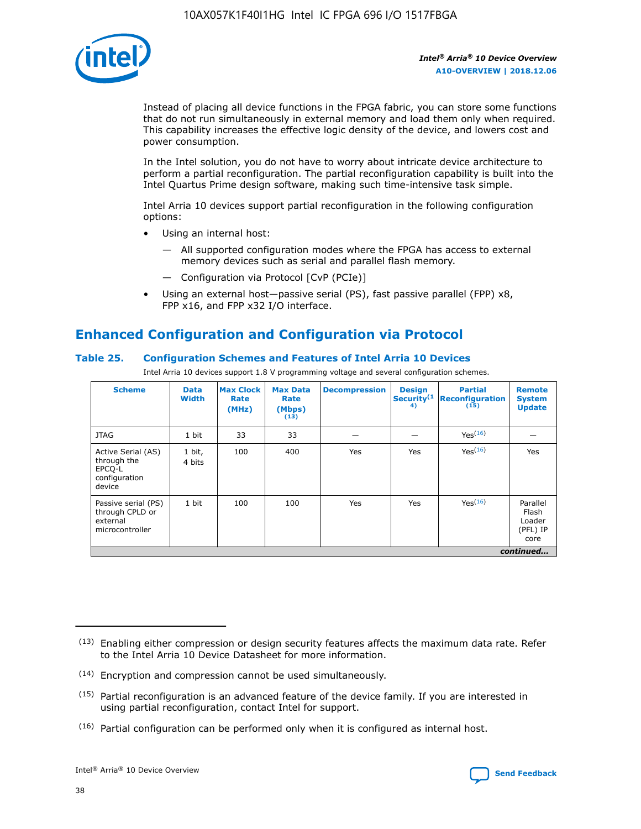

Instead of placing all device functions in the FPGA fabric, you can store some functions that do not run simultaneously in external memory and load them only when required. This capability increases the effective logic density of the device, and lowers cost and power consumption.

In the Intel solution, you do not have to worry about intricate device architecture to perform a partial reconfiguration. The partial reconfiguration capability is built into the Intel Quartus Prime design software, making such time-intensive task simple.

Intel Arria 10 devices support partial reconfiguration in the following configuration options:

- Using an internal host:
	- All supported configuration modes where the FPGA has access to external memory devices such as serial and parallel flash memory.
	- Configuration via Protocol [CvP (PCIe)]
- Using an external host—passive serial (PS), fast passive parallel (FPP) x8, FPP x16, and FPP x32 I/O interface.

# **Enhanced Configuration and Configuration via Protocol**

## **Table 25. Configuration Schemes and Features of Intel Arria 10 Devices**

Intel Arria 10 devices support 1.8 V programming voltage and several configuration schemes.

| <b>Scheme</b>                                                          | <b>Data</b><br><b>Width</b> | <b>Max Clock</b><br>Rate<br>(MHz) | <b>Max Data</b><br>Rate<br>(Mbps)<br>(13) | <b>Decompression</b> | <b>Design</b><br>Security <sup>(1</sup><br>4) | <b>Partial</b><br>Reconfiguration<br>(15) | <b>Remote</b><br><b>System</b><br><b>Update</b> |
|------------------------------------------------------------------------|-----------------------------|-----------------------------------|-------------------------------------------|----------------------|-----------------------------------------------|-------------------------------------------|-------------------------------------------------|
| <b>JTAG</b>                                                            | 1 bit                       | 33                                | 33                                        |                      |                                               | Yes <sup>(16)</sup>                       |                                                 |
| Active Serial (AS)<br>through the<br>EPCO-L<br>configuration<br>device | 1 bit,<br>4 bits            | 100                               | 400                                       | Yes                  | Yes                                           | $Y_{PS}(16)$                              | Yes                                             |
| Passive serial (PS)<br>through CPLD or<br>external<br>microcontroller  | 1 bit                       | 100                               | 100                                       | Yes                  | Yes                                           | Yes(16)                                   | Parallel<br>Flash<br>Loader<br>(PFL) IP<br>core |
|                                                                        |                             |                                   |                                           |                      |                                               |                                           | continued                                       |

<sup>(13)</sup> Enabling either compression or design security features affects the maximum data rate. Refer to the Intel Arria 10 Device Datasheet for more information.

<sup>(14)</sup> Encryption and compression cannot be used simultaneously.

 $(15)$  Partial reconfiguration is an advanced feature of the device family. If you are interested in using partial reconfiguration, contact Intel for support.

 $(16)$  Partial configuration can be performed only when it is configured as internal host.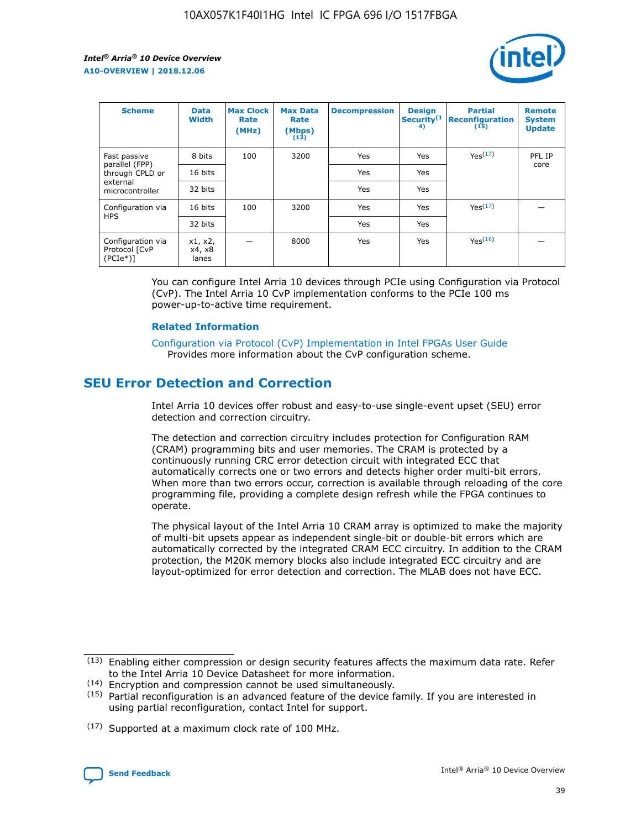

| <b>Scheme</b>                                    | <b>Data</b><br><b>Width</b> | <b>Max Clock</b><br>Rate<br>(MHz) | <b>Max Data</b><br>Rate<br>(Mbps)<br>(13) | <b>Decompression</b> | <b>Design</b><br>Security <sup>(1</sup><br>4) | <b>Partial</b><br><b>Reconfiguration</b><br>(15) | <b>Remote</b><br><b>System</b><br><b>Update</b> |
|--------------------------------------------------|-----------------------------|-----------------------------------|-------------------------------------------|----------------------|-----------------------------------------------|--------------------------------------------------|-------------------------------------------------|
| Fast passive                                     | 8 bits                      | 100                               | 3200                                      | Yes                  | Yes                                           | Yes <sup>(17)</sup>                              | PFL IP                                          |
| parallel (FPP)<br>through CPLD or                | 16 bits                     |                                   |                                           | Yes                  | Yes                                           |                                                  | core                                            |
| external<br>microcontroller                      | 32 bits                     |                                   |                                           | Yes                  | Yes                                           |                                                  |                                                 |
| Configuration via                                | 16 bits                     | 100                               | 3200                                      | Yes                  | Yes                                           | Yes <sup>(17)</sup>                              |                                                 |
| <b>HPS</b>                                       | 32 bits                     |                                   |                                           | Yes                  | Yes                                           |                                                  |                                                 |
| Configuration via<br>Protocol [CvP<br>$(PCIe^*)$ | x1, x2,<br>x4, x8<br>lanes  |                                   | 8000                                      | Yes                  | Yes                                           | Yes(16)                                          |                                                 |

You can configure Intel Arria 10 devices through PCIe using Configuration via Protocol (CvP). The Intel Arria 10 CvP implementation conforms to the PCIe 100 ms power-up-to-active time requirement.

### **Related Information**

[Configuration via Protocol \(CvP\) Implementation in Intel FPGAs User Guide](https://www.intel.com/content/www/us/en/programmable/documentation/dsu1441819344145.html#dsu1442269728522) Provides more information about the CvP configuration scheme.

# **SEU Error Detection and Correction**

Intel Arria 10 devices offer robust and easy-to-use single-event upset (SEU) error detection and correction circuitry.

The detection and correction circuitry includes protection for Configuration RAM (CRAM) programming bits and user memories. The CRAM is protected by a continuously running CRC error detection circuit with integrated ECC that automatically corrects one or two errors and detects higher order multi-bit errors. When more than two errors occur, correction is available through reloading of the core programming file, providing a complete design refresh while the FPGA continues to operate.

The physical layout of the Intel Arria 10 CRAM array is optimized to make the majority of multi-bit upsets appear as independent single-bit or double-bit errors which are automatically corrected by the integrated CRAM ECC circuitry. In addition to the CRAM protection, the M20K memory blocks also include integrated ECC circuitry and are layout-optimized for error detection and correction. The MLAB does not have ECC.

(14) Encryption and compression cannot be used simultaneously.

<sup>(17)</sup> Supported at a maximum clock rate of 100 MHz.



 $(13)$  Enabling either compression or design security features affects the maximum data rate. Refer to the Intel Arria 10 Device Datasheet for more information.

 $(15)$  Partial reconfiguration is an advanced feature of the device family. If you are interested in using partial reconfiguration, contact Intel for support.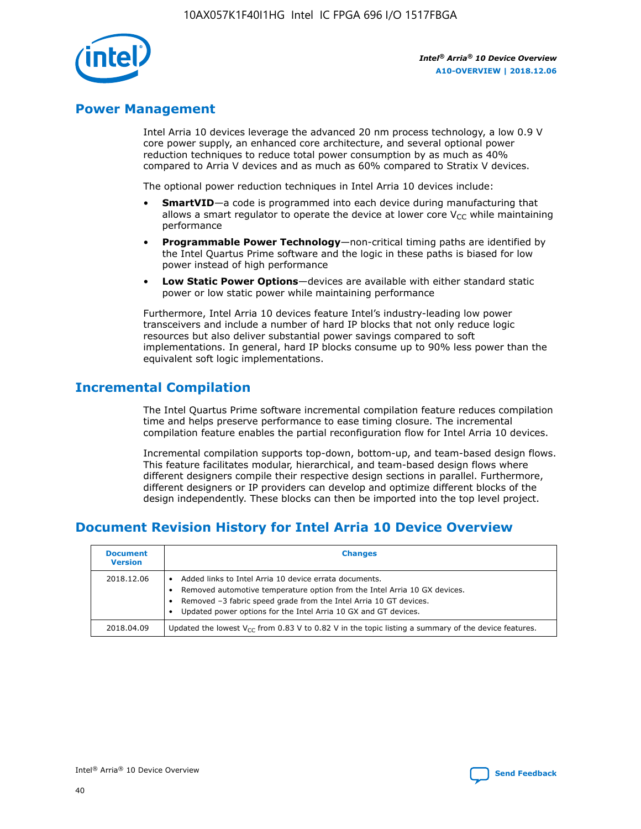

# **Power Management**

Intel Arria 10 devices leverage the advanced 20 nm process technology, a low 0.9 V core power supply, an enhanced core architecture, and several optional power reduction techniques to reduce total power consumption by as much as 40% compared to Arria V devices and as much as 60% compared to Stratix V devices.

The optional power reduction techniques in Intel Arria 10 devices include:

- **SmartVID**—a code is programmed into each device during manufacturing that allows a smart regulator to operate the device at lower core  $V_{CC}$  while maintaining performance
- **Programmable Power Technology**—non-critical timing paths are identified by the Intel Quartus Prime software and the logic in these paths is biased for low power instead of high performance
- **Low Static Power Options**—devices are available with either standard static power or low static power while maintaining performance

Furthermore, Intel Arria 10 devices feature Intel's industry-leading low power transceivers and include a number of hard IP blocks that not only reduce logic resources but also deliver substantial power savings compared to soft implementations. In general, hard IP blocks consume up to 90% less power than the equivalent soft logic implementations.

# **Incremental Compilation**

The Intel Quartus Prime software incremental compilation feature reduces compilation time and helps preserve performance to ease timing closure. The incremental compilation feature enables the partial reconfiguration flow for Intel Arria 10 devices.

Incremental compilation supports top-down, bottom-up, and team-based design flows. This feature facilitates modular, hierarchical, and team-based design flows where different designers compile their respective design sections in parallel. Furthermore, different designers or IP providers can develop and optimize different blocks of the design independently. These blocks can then be imported into the top level project.

# **Document Revision History for Intel Arria 10 Device Overview**

| <b>Document</b><br><b>Version</b> | <b>Changes</b>                                                                                                                                                                                                                                                              |
|-----------------------------------|-----------------------------------------------------------------------------------------------------------------------------------------------------------------------------------------------------------------------------------------------------------------------------|
| 2018.12.06                        | Added links to Intel Arria 10 device errata documents.<br>Removed automotive temperature option from the Intel Arria 10 GX devices.<br>Removed -3 fabric speed grade from the Intel Arria 10 GT devices.<br>Updated power options for the Intel Arria 10 GX and GT devices. |
| 2018.04.09                        | Updated the lowest $V_{CC}$ from 0.83 V to 0.82 V in the topic listing a summary of the device features.                                                                                                                                                                    |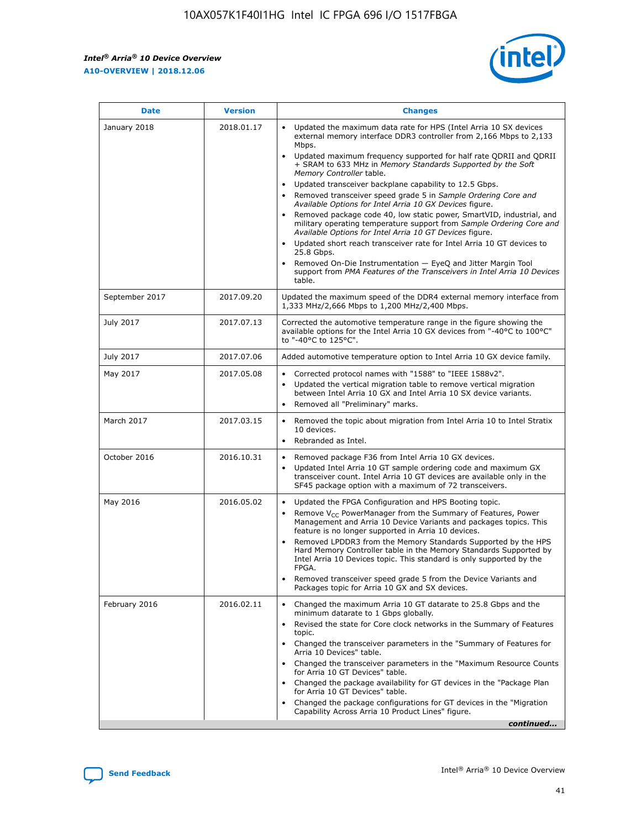

| <b>Date</b>    | <b>Version</b> | <b>Changes</b>                                                                                                                                                                                                                                                                                                                                                                                                                                                                                                                                                                                                                                                                                                                                                                                                                                                                                                                                               |
|----------------|----------------|--------------------------------------------------------------------------------------------------------------------------------------------------------------------------------------------------------------------------------------------------------------------------------------------------------------------------------------------------------------------------------------------------------------------------------------------------------------------------------------------------------------------------------------------------------------------------------------------------------------------------------------------------------------------------------------------------------------------------------------------------------------------------------------------------------------------------------------------------------------------------------------------------------------------------------------------------------------|
| January 2018   | 2018.01.17     | Updated the maximum data rate for HPS (Intel Arria 10 SX devices<br>external memory interface DDR3 controller from 2,166 Mbps to 2,133<br>Mbps.<br>Updated maximum frequency supported for half rate QDRII and QDRII<br>+ SRAM to 633 MHz in Memory Standards Supported by the Soft<br>Memory Controller table.<br>Updated transceiver backplane capability to 12.5 Gbps.<br>Removed transceiver speed grade 5 in Sample Ordering Core and<br>Available Options for Intel Arria 10 GX Devices figure.<br>Removed package code 40, low static power, SmartVID, industrial, and<br>military operating temperature support from Sample Ordering Core and<br>Available Options for Intel Arria 10 GT Devices figure.<br>Updated short reach transceiver rate for Intel Arria 10 GT devices to<br>25.8 Gbps.<br>Removed On-Die Instrumentation - EyeQ and Jitter Margin Tool<br>support from PMA Features of the Transceivers in Intel Arria 10 Devices<br>table. |
| September 2017 | 2017.09.20     | Updated the maximum speed of the DDR4 external memory interface from<br>1,333 MHz/2,666 Mbps to 1,200 MHz/2,400 Mbps.                                                                                                                                                                                                                                                                                                                                                                                                                                                                                                                                                                                                                                                                                                                                                                                                                                        |
| July 2017      | 2017.07.13     | Corrected the automotive temperature range in the figure showing the<br>available options for the Intel Arria 10 GX devices from "-40°C to 100°C"<br>to "-40°C to 125°C".                                                                                                                                                                                                                                                                                                                                                                                                                                                                                                                                                                                                                                                                                                                                                                                    |
| July 2017      | 2017.07.06     | Added automotive temperature option to Intel Arria 10 GX device family.                                                                                                                                                                                                                                                                                                                                                                                                                                                                                                                                                                                                                                                                                                                                                                                                                                                                                      |
| May 2017       | 2017.05.08     | Corrected protocol names with "1588" to "IEEE 1588v2".<br>Updated the vertical migration table to remove vertical migration<br>$\bullet$<br>between Intel Arria 10 GX and Intel Arria 10 SX device variants.<br>Removed all "Preliminary" marks.                                                                                                                                                                                                                                                                                                                                                                                                                                                                                                                                                                                                                                                                                                             |
| March 2017     | 2017.03.15     | Removed the topic about migration from Intel Arria 10 to Intel Stratix<br>10 devices.<br>Rebranded as Intel.<br>$\bullet$                                                                                                                                                                                                                                                                                                                                                                                                                                                                                                                                                                                                                                                                                                                                                                                                                                    |
| October 2016   | 2016.10.31     | Removed package F36 from Intel Arria 10 GX devices.<br>Updated Intel Arria 10 GT sample ordering code and maximum GX<br>$\bullet$<br>transceiver count. Intel Arria 10 GT devices are available only in the<br>SF45 package option with a maximum of 72 transceivers.                                                                                                                                                                                                                                                                                                                                                                                                                                                                                                                                                                                                                                                                                        |
| May 2016       | 2016.05.02     | Updated the FPGA Configuration and HPS Booting topic.<br>$\bullet$<br>Remove V <sub>CC</sub> PowerManager from the Summary of Features, Power<br>Management and Arria 10 Device Variants and packages topics. This<br>feature is no longer supported in Arria 10 devices.<br>Removed LPDDR3 from the Memory Standards Supported by the HPS<br>Hard Memory Controller table in the Memory Standards Supported by<br>Intel Arria 10 Devices topic. This standard is only supported by the<br>FPGA.<br>Removed transceiver speed grade 5 from the Device Variants and<br>Packages topic for Arria 10 GX and SX devices.                                                                                                                                                                                                                                                                                                                                         |
| February 2016  | 2016.02.11     | Changed the maximum Arria 10 GT datarate to 25.8 Gbps and the<br>minimum datarate to 1 Gbps globally.<br>Revised the state for Core clock networks in the Summary of Features<br>topic.<br>Changed the transceiver parameters in the "Summary of Features for<br>Arria 10 Devices" table.<br>Changed the transceiver parameters in the "Maximum Resource Counts"<br>for Arria 10 GT Devices" table.<br>Changed the package availability for GT devices in the "Package Plan<br>for Arria 10 GT Devices" table.<br>Changed the package configurations for GT devices in the "Migration"<br>Capability Across Arria 10 Product Lines" figure.<br>continued                                                                                                                                                                                                                                                                                                     |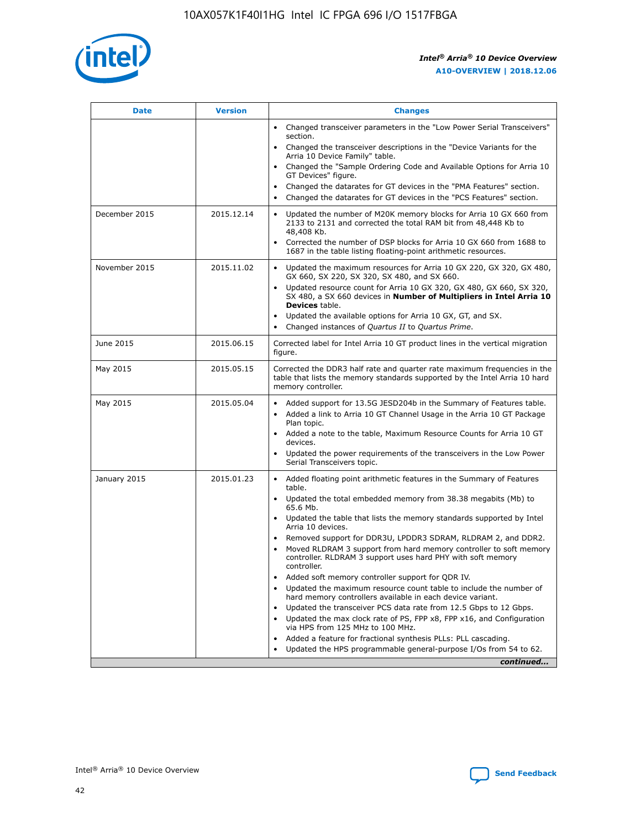

| <b>Date</b>   | <b>Version</b> | <b>Changes</b>                                                                                                                                                                   |
|---------------|----------------|----------------------------------------------------------------------------------------------------------------------------------------------------------------------------------|
|               |                | • Changed transceiver parameters in the "Low Power Serial Transceivers"<br>section.                                                                                              |
|               |                | • Changed the transceiver descriptions in the "Device Variants for the<br>Arria 10 Device Family" table.                                                                         |
|               |                | Changed the "Sample Ordering Code and Available Options for Arria 10<br>GT Devices" figure.                                                                                      |
|               |                | Changed the datarates for GT devices in the "PMA Features" section.                                                                                                              |
|               |                | Changed the datarates for GT devices in the "PCS Features" section.<br>$\bullet$                                                                                                 |
| December 2015 | 2015.12.14     | Updated the number of M20K memory blocks for Arria 10 GX 660 from<br>$\bullet$<br>2133 to 2131 and corrected the total RAM bit from 48,448 Kb to<br>48,408 Kb.                   |
|               |                | Corrected the number of DSP blocks for Arria 10 GX 660 from 1688 to<br>$\bullet$<br>1687 in the table listing floating-point arithmetic resources.                               |
| November 2015 | 2015.11.02     | Updated the maximum resources for Arria 10 GX 220, GX 320, GX 480,<br>$\bullet$<br>GX 660, SX 220, SX 320, SX 480, and SX 660.                                                   |
|               |                | Updated resource count for Arria 10 GX 320, GX 480, GX 660, SX 320,<br>$\bullet$<br>SX 480, a SX 660 devices in Number of Multipliers in Intel Arria 10<br><b>Devices</b> table. |
|               |                | Updated the available options for Arria 10 GX, GT, and SX.<br>$\bullet$                                                                                                          |
|               |                | Changed instances of Quartus II to Quartus Prime.<br>$\bullet$                                                                                                                   |
| June 2015     | 2015.06.15     | Corrected label for Intel Arria 10 GT product lines in the vertical migration<br>figure.                                                                                         |
| May 2015      | 2015.05.15     | Corrected the DDR3 half rate and quarter rate maximum frequencies in the<br>table that lists the memory standards supported by the Intel Arria 10 hard<br>memory controller.     |
| May 2015      | 2015.05.04     | • Added support for 13.5G JESD204b in the Summary of Features table.<br>• Added a link to Arria 10 GT Channel Usage in the Arria 10 GT Package<br>Plan topic.                    |
|               |                | • Added a note to the table, Maximum Resource Counts for Arria 10 GT<br>devices.                                                                                                 |
|               |                | Updated the power requirements of the transceivers in the Low Power<br>Serial Transceivers topic.                                                                                |
| January 2015  | 2015.01.23     | • Added floating point arithmetic features in the Summary of Features<br>table.                                                                                                  |
|               |                | • Updated the total embedded memory from 38.38 megabits (Mb) to<br>65.6 Mb.                                                                                                      |
|               |                | • Updated the table that lists the memory standards supported by Intel<br>Arria 10 devices.                                                                                      |
|               |                | Removed support for DDR3U, LPDDR3 SDRAM, RLDRAM 2, and DDR2.                                                                                                                     |
|               |                | Moved RLDRAM 3 support from hard memory controller to soft memory<br>controller. RLDRAM 3 support uses hard PHY with soft memory<br>controller.                                  |
|               |                | Added soft memory controller support for QDR IV.                                                                                                                                 |
|               |                | Updated the maximum resource count table to include the number of<br>hard memory controllers available in each device variant.                                                   |
|               |                | Updated the transceiver PCS data rate from 12.5 Gbps to 12 Gbps.<br>$\bullet$                                                                                                    |
|               |                | Updated the max clock rate of PS, FPP x8, FPP x16, and Configuration<br>via HPS from 125 MHz to 100 MHz.                                                                         |
|               |                | Added a feature for fractional synthesis PLLs: PLL cascading.                                                                                                                    |
|               |                | Updated the HPS programmable general-purpose I/Os from 54 to 62.                                                                                                                 |
|               |                | continued                                                                                                                                                                        |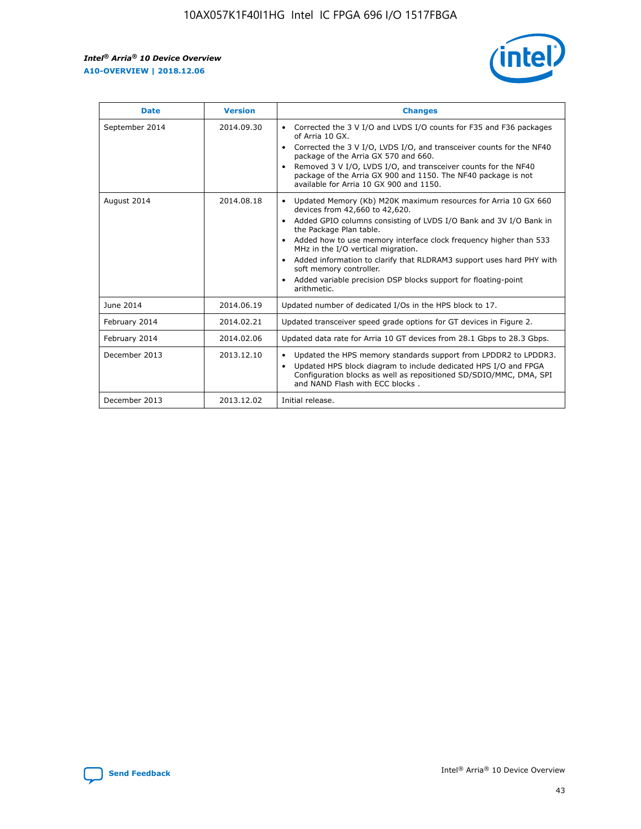$\mathsf{r}$ 



| <b>Date</b>    | <b>Version</b> | <b>Changes</b>                                                                                                                                                                                                                                                                                                                                                                                                                                                                                                                         |
|----------------|----------------|----------------------------------------------------------------------------------------------------------------------------------------------------------------------------------------------------------------------------------------------------------------------------------------------------------------------------------------------------------------------------------------------------------------------------------------------------------------------------------------------------------------------------------------|
| September 2014 | 2014.09.30     | Corrected the 3 V I/O and LVDS I/O counts for F35 and F36 packages<br>of Arria 10 GX.<br>Corrected the 3 V I/O, LVDS I/O, and transceiver counts for the NF40<br>package of the Arria GX 570 and 660.<br>Removed 3 V I/O, LVDS I/O, and transceiver counts for the NF40<br>package of the Arria GX 900 and 1150. The NF40 package is not<br>available for Arria 10 GX 900 and 1150.                                                                                                                                                    |
| August 2014    | 2014.08.18     | Updated Memory (Kb) M20K maximum resources for Arria 10 GX 660<br>devices from 42,660 to 42,620.<br>Added GPIO columns consisting of LVDS I/O Bank and 3V I/O Bank in<br>$\bullet$<br>the Package Plan table.<br>Added how to use memory interface clock frequency higher than 533<br>$\bullet$<br>MHz in the I/O vertical migration.<br>Added information to clarify that RLDRAM3 support uses hard PHY with<br>$\bullet$<br>soft memory controller.<br>Added variable precision DSP blocks support for floating-point<br>arithmetic. |
| June 2014      | 2014.06.19     | Updated number of dedicated I/Os in the HPS block to 17.                                                                                                                                                                                                                                                                                                                                                                                                                                                                               |
| February 2014  | 2014.02.21     | Updated transceiver speed grade options for GT devices in Figure 2.                                                                                                                                                                                                                                                                                                                                                                                                                                                                    |
| February 2014  | 2014.02.06     | Updated data rate for Arria 10 GT devices from 28.1 Gbps to 28.3 Gbps.                                                                                                                                                                                                                                                                                                                                                                                                                                                                 |
| December 2013  | 2013.12.10     | Updated the HPS memory standards support from LPDDR2 to LPDDR3.<br>Updated HPS block diagram to include dedicated HPS I/O and FPGA<br>$\bullet$<br>Configuration blocks as well as repositioned SD/SDIO/MMC, DMA, SPI<br>and NAND Flash with ECC blocks.                                                                                                                                                                                                                                                                               |
| December 2013  | 2013.12.02     | Initial release.                                                                                                                                                                                                                                                                                                                                                                                                                                                                                                                       |